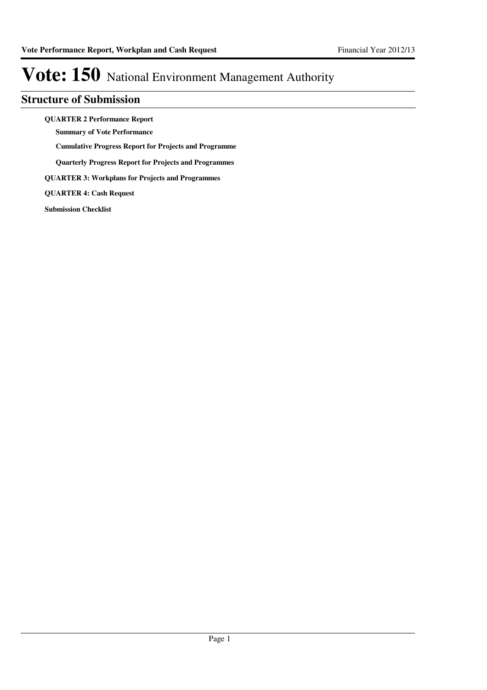## **Structure of Submission**

**QUARTER 2 Performance Report**

**Summary of Vote Performance**

**Cumulative Progress Report for Projects and Programme**

**Quarterly Progress Report for Projects and Programmes**

**QUARTER 3: Workplans for Projects and Programmes**

**QUARTER 4: Cash Request**

**Submission Checklist**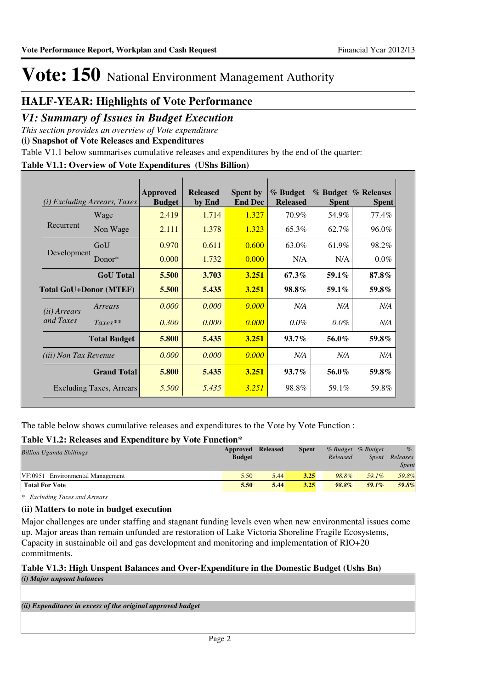## **HALF-YEAR: Highlights of Vote Performance**

## *V1: Summary of Issues in Budget Execution*

*This section provides an overview of Vote expenditure* 

**(i) Snapshot of Vote Releases and Expenditures**

Table V1.1 below summarises cumulative releases and expenditures by the end of the quarter:

### **Table V1.1: Overview of Vote Expenditures (UShs Billion)**

| (i)                           | <i>Excluding Arrears, Taxes</i> | <b>Approved</b><br><b>Budget</b> | <b>Released</b><br>by End | <b>Spent by</b><br><b>End Dec</b> | % Budget<br><b>Released</b> | <b>Spent</b> | % Budget % Releases<br><b>Spent</b> |
|-------------------------------|---------------------------------|----------------------------------|---------------------------|-----------------------------------|-----------------------------|--------------|-------------------------------------|
|                               | Wage                            | 2.419                            | 1.714                     | 1.327                             | 70.9%                       | 54.9%        | 77.4%                               |
| Recurrent                     | Non Wage                        | 2.111                            | 1.378                     | 1.323                             | 65.3%                       | 62.7%        | 96.0%                               |
|                               | GoU                             | 0.970                            | 0.611                     | 0.600                             | 63.0%                       | 61.9%        | 98.2%                               |
| Development                   | Donor*                          | 0.000                            | 1.732                     | 0.000                             | N/A                         | N/A          | $0.0\%$                             |
|                               | <b>GoU</b> Total                | 5.500                            | 3.703                     | 3.251                             | 67.3%                       | 59.1%        | $87.8\%$                            |
| <b>Total GoU+Donor (MTEF)</b> |                                 | 5.500                            | 5.435                     | 3.251                             | 98.8%                       | $59.1\%$     | 59.8%                               |
| ( <i>ii</i> ) Arrears         | Arrears                         | 0.000                            | 0.000                     | 0.000                             | N/A                         | N/A          | N/A                                 |
| and Taxes                     | $Taxes**$                       | 0.300                            | 0.000                     | 0.000                             | $0.0\%$                     | $0.0\%$      | N/A                                 |
|                               | <b>Total Budget</b>             | 5.800                            | 5.435                     | 3.251                             | $93.7\%$                    | 56.0%        | 59.8%                               |
| <i>(iii)</i> Non Tax Revenue  |                                 | 0.000                            | 0.000                     | 0.000                             | N/A                         | N/A          | N/A                                 |
|                               | <b>Grand Total</b>              | 5.800                            | 5.435                     | 3.251                             | $93.7\%$                    | 56.0%        | 59.8%                               |
|                               | Excluding Taxes, Arrears        | 5.500                            | 5.435                     | 3.251                             | 98.8%                       | 59.1%        | 59.8%                               |

The table below shows cumulative releases and expenditures to the Vote by Vote Function :

### **Table V1.2: Releases and Expenditure by Vote Function\***

| <b>Billion Uganda Shillings</b>  | Approved      | <b>Released</b> | <b>Spent</b> |          | % Budget % Budget | $\%$                     |
|----------------------------------|---------------|-----------------|--------------|----------|-------------------|--------------------------|
|                                  | <b>Budget</b> |                 |              | Released | <i>Spent</i>      | Releases<br><b>Spent</b> |
| VF:0951 Environmental Management | 5.50          | 5.44            | 3.25         | 98.8%    | 59.1%             | 59.8%                    |
| <b>Total For Vote</b>            | 5.50          | 5.44            | 3.25         | $98.8\%$ | $59.1\%$          | 59.8%                    |

*\* Excluding Taxes and Arrears*

#### **(ii) Matters to note in budget execution**

Major challenges are under staffing and stagnant funding levels even when new environmental issues come up. Major areas than remain unfunded are restoration of Lake Victoria Shoreline Fragile Ecosystems, Capacity in sustainable oil and gas development and monitoring and implementation of RIO+20 commitments.

### **Table V1.3: High Unspent Balances and Over-Expenditure in the Domestic Budget (Ushs Bn)**

*(i) Major unpsent balances*

*(ii) Expenditures in excess of the original approved budget*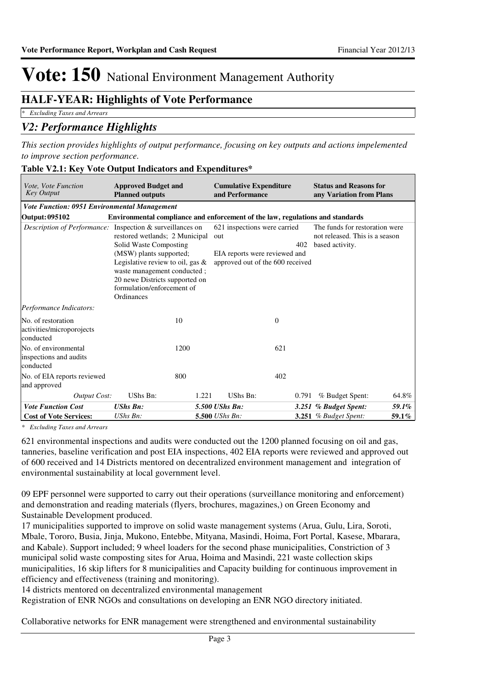## **HALF-YEAR: Highlights of Vote Performance**

*\* Excluding Taxes and Arrears*

## *V2: Performance Highlights*

*This section provides highlights of output performance, focusing on key outputs and actions impelemented to improve section performance.*

| <i>Vote, Vote Function</i><br><b>Key Output</b>              | <b>Approved Budget and</b><br><b>Planned outputs</b>                                                                                                                                                                                                                                                        | <b>Cumulative Expenditure</b><br>and Performance                                                                | <b>Status and Reasons for</b><br>any Variation from Plans                           |
|--------------------------------------------------------------|-------------------------------------------------------------------------------------------------------------------------------------------------------------------------------------------------------------------------------------------------------------------------------------------------------------|-----------------------------------------------------------------------------------------------------------------|-------------------------------------------------------------------------------------|
| <b>Vote Function: 0951 Environmental Management</b>          |                                                                                                                                                                                                                                                                                                             |                                                                                                                 |                                                                                     |
| Output: 095102                                               |                                                                                                                                                                                                                                                                                                             | Environmental compliance and enforcement of the law, regulations and standards                                  |                                                                                     |
|                                                              | <i>Description of Performance:</i> Inspection & surveillances on<br>restored wetlands; 2 Municipal<br>Solid Waste Composting<br>(MSW) plants supported;<br>Legislative review to oil, gas $\&$<br>waste management conducted;<br>20 newe Districts supported on<br>formulation/enforcement of<br>Ordinances | 621 inspections were carried<br>out<br>402<br>EIA reports were reviewed and<br>approved out of the 600 received | The funds for restoration were<br>not released. This is a season<br>based activity. |
| Performance Indicators:                                      |                                                                                                                                                                                                                                                                                                             |                                                                                                                 |                                                                                     |
| No. of restoration<br>activities/microporojects<br>conducted | 10                                                                                                                                                                                                                                                                                                          | $\theta$                                                                                                        |                                                                                     |
| No. of environmental<br>inspections and audits<br>conducted  | 1200                                                                                                                                                                                                                                                                                                        | 621                                                                                                             |                                                                                     |
| No. of EIA reports reviewed<br>and approved                  | 800                                                                                                                                                                                                                                                                                                         | 402                                                                                                             |                                                                                     |
| Output Cost:                                                 | UShs Bn:<br>1.221                                                                                                                                                                                                                                                                                           | UShs Bn:<br>0.791                                                                                               | % Budget Spent:<br>64.8%                                                            |
| <b>Vote Function Cost</b>                                    | <b>UShs Bn:</b>                                                                                                                                                                                                                                                                                             | 5.500 UShs Bn:                                                                                                  | 59.1%<br>3.251 % Budget Spent:                                                      |
| <b>Cost of Vote Services:</b>                                | $UShs Bn$ :                                                                                                                                                                                                                                                                                                 | 5.500 UShs Bn:                                                                                                  | 3.251 $%$ Budget Spent:<br>59.1%                                                    |

#### **Table V2.1: Key Vote Output Indicators and Expenditures\***

*\* Excluding Taxes and Arrears*

621 environmental inspections and audits were conducted out the 1200 planned focusing on oil and gas, tanneries, baseline verification and post EIA inspections, 402 EIA reports were reviewed and approved out of 600 received and 14 Districts mentored on decentralized environment management and integration of environmental sustainability at local government level.

09 EPF personnel were supported to carry out their operations (surveillance monitoring and enforcement) and demonstration and reading materials (flyers, brochures, magazines,) on Green Economy and Sustainable Development produced.

17 municipalities supported to improve on solid waste management systems (Arua, Gulu, Lira, Soroti, Mbale, Tororo, Busia, Jinja, Mukono, Entebbe, Mityana, Masindi, Hoima, Fort Portal, Kasese, Mbarara, and Kabale). Support included; 9 wheel loaders for the second phase municipalities, Constriction of 3 municipal solid waste composting sites for Arua, Hoima and Masindi, 221 waste collection skips municipalities, 16 skip lifters for 8 municipalities and Capacity building for continuous improvement in efficiency and effectiveness (training and monitoring).

14 districts mentored on decentralized environmental management

Registration of ENR NGOs and consultations on developing an ENR NGO directory initiated.

Collaborative networks for ENR management were strengthened and environmental sustainability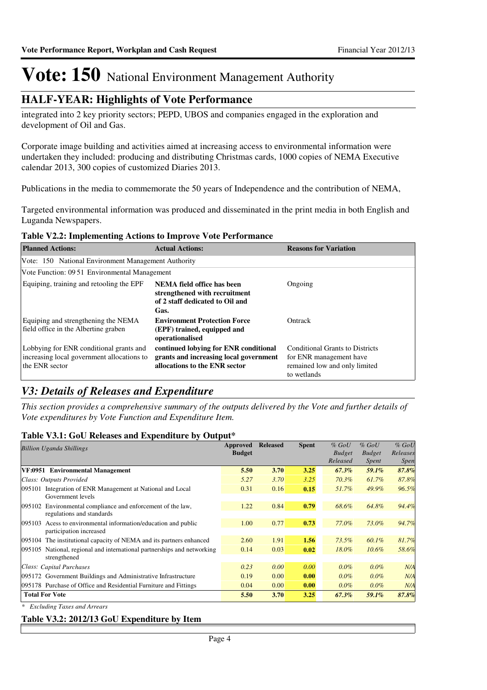## **HALF-YEAR: Highlights of Vote Performance**

integrated into 2 key priority sectors; PEPD, UBOS and companies engaged in the exploration and development of Oil and Gas.

Corporate image building and activities aimed at increasing access to environmental information were undertaken they included: producing and distributing Christmas cards, 1000 copies of NEMA Executive calendar 2013, 300 copies of customized Diaries 2013.

Publications in the media to commemorate the 50 years of Independence and the contribution of NEMA,

Targeted environmental information was produced and disseminated in the print media in both English and Luganda Newspapers.

#### **Table V2.2: Implementing Actions to Improve Vote Performance**

| <b>Planned Actions:</b>                                                                                 | <b>Actual Actions:</b>                                                                                           | <b>Reasons for Variation</b>                                                                                      |
|---------------------------------------------------------------------------------------------------------|------------------------------------------------------------------------------------------------------------------|-------------------------------------------------------------------------------------------------------------------|
| Vote: 150 National Environment Management Authority                                                     |                                                                                                                  |                                                                                                                   |
| Vote Function: 09.51 Environmental Management                                                           |                                                                                                                  |                                                                                                                   |
| Equiping, training and retooling the EPF                                                                | NEMA field office has been<br>strengthened with recruitment<br>of 2 staff dedicated to Oil and<br>Gas.           | Ongoing                                                                                                           |
| Equiping and strengthening the NEMA<br>field office in the Albertine graben                             | <b>Environment Protection Force</b><br>(EPF) trained, equipped and<br>operationalised                            | Ontrack                                                                                                           |
| Lobbying for ENR conditional grants and<br>increasing local government allocations to<br>the ENR sector | continued lobying for ENR conditional<br>grants and increasing local government<br>allocations to the ENR sector | <b>Conditional Grants to Districts</b><br>for ENR management have<br>remained low and only limited<br>to wetlands |

## *V3: Details of Releases and Expenditure*

*This section provides a comprehensive summary of the outputs delivered by the Vote and further details of Vote expenditures by Vote Function and Expenditure Item.*

#### **Table V3.1: GoU Releases and Expenditure by Output\***

|                                                                       | <b>Billion Uganda Shillings</b>                                         | Approved      | <b>Released</b> | <b>Spent</b> | $%$ GoU       | $%$ GoU       | $%$ GoU     |
|-----------------------------------------------------------------------|-------------------------------------------------------------------------|---------------|-----------------|--------------|---------------|---------------|-------------|
|                                                                       |                                                                         | <b>Budget</b> |                 |              | <b>Budget</b> | <b>Budget</b> | Releases    |
|                                                                       |                                                                         |               |                 |              | Released      | Spent         | <i>Spen</i> |
|                                                                       | VF:0951 Environmental Management                                        | 5.50          | 3.70            | 3.25         | $67.3\%$      | 59.1%         | 87.8%       |
|                                                                       | Class: Outputs Provided                                                 | 5.27          | 3.70            | 3.25         | $70.3\%$      | $61.7\%$      | 87.8%       |
| 095101                                                                | Integration of ENR Management at National and Local                     | 0.31          | 0.16            | 0.15         | 51.7%         | 49.9%         | 96.5%       |
|                                                                       | Government levels                                                       |               |                 |              |               |               |             |
| 095102                                                                | Environmental compliance and enforcement of the law,                    | 1.22          | 0.84            | 0.79         | 68.6%         | 64.8%         | 94.4%       |
|                                                                       | regulations and standards                                               |               |                 |              |               |               |             |
| 095103                                                                | Acess to environmental information/education and public                 | 1.00          | 0.77            | 0.73         | 77.0%         | 73.0%         | 94.7%       |
|                                                                       | participation increased                                                 |               |                 |              |               |               |             |
|                                                                       | 095104 The institutional capacity of NEMA and its partners enhanced     | 2.60          | 1.91            | 1.56         | 73.5%         | 60.1%         | 81.7%       |
|                                                                       | 095105 National, regional and international partnerships and networking | 0.14          | 0.03            | 0.02         | $18.0\%$      | $10.6\%$      | 58.6%       |
|                                                                       | strengthened                                                            |               |                 |              |               |               |             |
|                                                                       | Class: Capital Purchases                                                | 0.23          | 0.00            | 0.00         | $0.0\%$       | $0.0\%$       | N/A         |
|                                                                       | 095172 Government Buildings and Administrative Infrastructure           | 0.19          | 0.00            | 0.00         | $0.0\%$       | $0.0\%$       | N/A         |
|                                                                       | 095178 Purchase of Office and Residential Furniture and Fittings        | 0.04          | 0.00            | 0.00         | $0.0\%$       | $0.0\%$       | N/A         |
|                                                                       | <b>Total For Vote</b>                                                   | 5.50          | 3.70            | 3.25         | $67.3\%$      | 59.1%         | 87.8%       |
| $\mathbf{a}$ , and $\mathbf{r}$ , and $\mathbf{r}$ , and $\mathbf{r}$ | $\mathbf{1}$                                                            |               |                 |              |               |               |             |

*\* Excluding Taxes and Arrears*

#### **Table V3.2: 2012/13 GoU Expenditure by Item**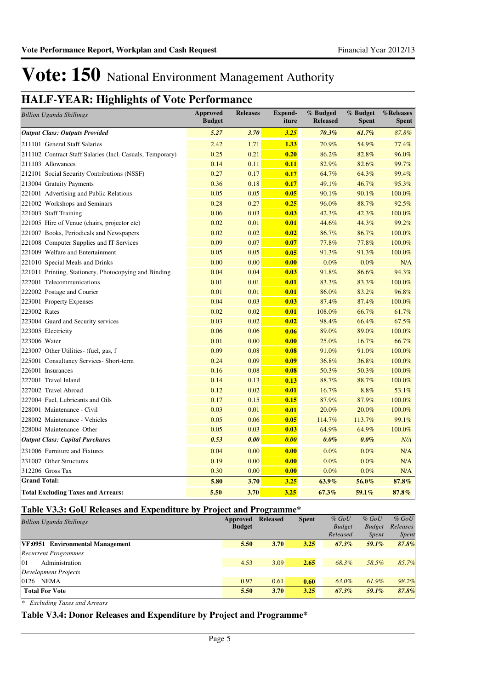# **HALF-YEAR: Highlights of Vote Performance**

| <b>Billion Uganda Shillings</b>                           | <b>Approved</b><br><b>Budget</b> | <b>Releases</b> | <b>Expend-</b><br>iture | % Budged<br><b>Released</b> | % Budget<br><b>Spent</b> | %Releases<br><b>Spent</b> |
|-----------------------------------------------------------|----------------------------------|-----------------|-------------------------|-----------------------------|--------------------------|---------------------------|
| <b>Output Class: Outputs Provided</b>                     | 5.27                             | 3.70            | 3.25                    | 70.3%                       | $61.7\%$                 | 87.8%                     |
| 211101 General Staff Salaries                             | 2.42                             | 1.71            | 1.33                    | 70.9%                       | 54.9%                    | 77.4%                     |
| 211102 Contract Staff Salaries (Incl. Casuals, Temporary) | 0.25                             | 0.21            | 0.20                    | 86.2%                       | 82.8%                    | 96.0%                     |
| 211103 Allowances                                         | 0.14                             | 0.11            | 0.11                    | 82.9%                       | 82.6%                    | 99.7%                     |
| 212101 Social Security Contributions (NSSF)               | 0.27                             | 0.17            | 0.17                    | 64.7%                       | 64.3%                    | 99.4%                     |
| 213004 Gratuity Payments                                  | 0.36                             | 0.18            | 0.17                    | 49.1%                       | 46.7%                    | 95.3%                     |
| 221001 Advertising and Public Relations                   | 0.05                             | 0.05            | 0.05                    | 90.1%                       | 90.1%                    | 100.0%                    |
| 221002 Workshops and Seminars                             | 0.28                             | 0.27            | 0.25                    | 96.0%                       | 88.7%                    | 92.5%                     |
| 221003 Staff Training                                     | 0.06                             | 0.03            | 0.03                    | 42.3%                       | 42.3%                    | 100.0%                    |
| 221005 Hire of Venue (chairs, projector etc)              | 0.02                             | 0.01            | 0.01                    | 44.6%                       | 44.3%                    | 99.2%                     |
| 221007 Books, Periodicals and Newspapers                  | 0.02                             | 0.02            | 0.02                    | 86.7%                       | 86.7%                    | 100.0%                    |
| 221008 Computer Supplies and IT Services                  | 0.09                             | 0.07            | 0.07                    | 77.8%                       | 77.8%                    | 100.0%                    |
| 221009 Welfare and Entertainment                          | 0.05                             | 0.05            | 0.05                    | 91.3%                       | 91.3%                    | 100.0%                    |
| 221010 Special Meals and Drinks                           | 0.00                             | 0.00            | 0.00                    | 0.0%                        | 0.0%                     | N/A                       |
| 221011 Printing, Stationery, Photocopying and Binding     | 0.04                             | 0.04            | 0.03                    | 91.8%                       | 86.6%                    | 94.3%                     |
| 222001 Telecommunications                                 | 0.01                             | 0.01            | 0.01                    | 83.3%                       | 83.3%                    | 100.0%                    |
| 222002 Postage and Courier                                | 0.01                             | 0.01            | 0.01                    | 86.0%                       | 83.2%                    | 96.8%                     |
| 223001 Property Expenses                                  | 0.04                             | 0.03            | 0.03                    | 87.4%                       | 87.4%                    | 100.0%                    |
| 223002 Rates                                              | 0.02                             | 0.02            | 0.01                    | 108.0%                      | 66.7%                    | 61.7%                     |
| 223004 Guard and Security services                        | 0.03                             | 0.02            | 0.02                    | 98.4%                       | 66.4%                    | 67.5%                     |
| 223005 Electricity                                        | 0.06                             | 0.06            | 0.06                    | 89.0%                       | 89.0%                    | 100.0%                    |
| 223006 Water                                              | 0.01                             | 0.00            | 0.00                    | 25.0%                       | 16.7%                    | 66.7%                     |
| 223007 Other Utilities- (fuel, gas, f                     | 0.09                             | 0.08            | 0.08                    | 91.0%                       | 91.0%                    | 100.0%                    |
| 225001 Consultancy Services- Short-term                   | 0.24                             | 0.09            | 0.09                    | 36.8%                       | 36.8%                    | 100.0%                    |
| 226001 Insurances                                         | 0.16                             | 0.08            | 0.08                    | 50.3%                       | 50.3%                    | 100.0%                    |
| 227001 Travel Inland                                      | 0.14                             | 0.13            | 0.13                    | 88.7%                       | 88.7%                    | 100.0%                    |
| 227002 Travel Abroad                                      | 0.12                             | 0.02            | 0.01                    | 16.7%                       | 8.8%                     | 53.1%                     |
| 227004 Fuel, Lubricants and Oils                          | 0.17                             | 0.15            | 0.15                    | 87.9%                       | 87.9%                    | 100.0%                    |
| 228001 Maintenance - Civil                                | 0.03                             | 0.01            | 0.01                    | 20.0%                       | 20.0%                    | 100.0%                    |
| 228002 Maintenance - Vehicles                             | 0.05                             | 0.06            | 0.05                    | 114.7%                      | 113.7%                   | 99.1%                     |
| 228004 Maintenance Other                                  | 0.05                             | 0.03            | 0.03                    | 64.9%                       | 64.9%                    | 100.0%                    |
| <b>Output Class: Capital Purchases</b>                    | 0.53                             | 0.00            | 0.00                    | $0.0\%$                     | $0.0\%$                  | N/A                       |
| 231006 Furniture and Fixtures                             | 0.04                             | 0.00            | 0.00                    | 0.0%                        | 0.0%                     | N/A                       |
| 231007 Other Structures                                   | 0.19                             | 0.00            | 0.00                    | 0.0%                        | 0.0%                     | N/A                       |
| 312206 Gross Tax                                          | 0.30                             | 0.00            | 0.00                    | 0.0%                        | 0.0%                     | N/A                       |
| <b>Grand Total:</b>                                       | 5.80                             | 3.70            | 3.25                    | 63.9%                       | 56.0%                    | 87.8%                     |
| <b>Total Excluding Taxes and Arrears:</b>                 | 5.50                             | 3.70            | 3.25                    | 67.3%                       | 59.1%                    | 87.8%                     |

### **Table V3.3: GoU Releases and Expenditure by Project and Programme\***

| <b>Billion Uganda Shillings</b>  | Approved      | <b>Released</b> | <b>Spent</b> | $%$ GoU       | $%$ GoU       | $%$ GoU      |
|----------------------------------|---------------|-----------------|--------------|---------------|---------------|--------------|
|                                  | <b>Budget</b> |                 |              | <b>Budget</b> | <b>Budget</b> | Releases     |
|                                  |               |                 |              | Released      | <i>Spent</i>  | <i>Spent</i> |
| VF:0951 Environmental Management | 5.50          | 3.70            | 3.25         | $67.3\%$      | 59.1%         | 87.8%        |
| <b>Recurrent Programmes</b>      |               |                 |              |               |               |              |
| 01<br>Administration             | 4.53          | 3.09            | 2.65         | 68.3%         | 58.5%         | 85.7%        |
| Development Projects             |               |                 |              |               |               |              |
| NEMA<br>0126                     | 0.97          | 0.61            | 0.60         | 63.0%         | 61.9%         | 98.2%        |
| <b>Total For Vote</b>            | 5.50          | 3.70            | 3.25         | $67.3\%$      | 59.1%         | 87.8%        |

*\* Excluding Taxes and Arrears*

### **Table V3.4: Donor Releases and Expenditure by Project and Programme\***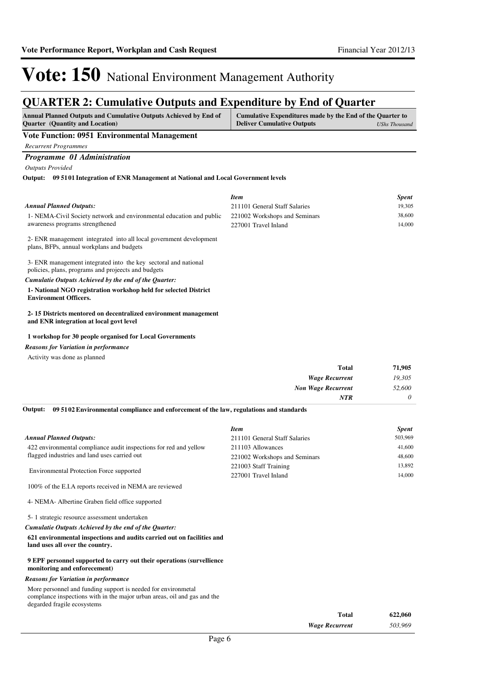## **QUARTER 2: Cumulative Outputs and Expenditure by End of Quarter**

| <b>Annual Planned Outputs and Cumulative Outputs Achieved by End of</b><br><b>Quarter</b> (Quantity and Location)     | Cumulative Expenditures made by the End of the Quarter to<br><b>Deliver Cumulative Outputs</b> | <b>UShs Thousand</b> |
|-----------------------------------------------------------------------------------------------------------------------|------------------------------------------------------------------------------------------------|----------------------|
| <b>Vote Function: 0951 Environmental Management</b>                                                                   |                                                                                                |                      |
| <b>Recurrent Programmes</b>                                                                                           |                                                                                                |                      |
| Programme 01 Administration                                                                                           |                                                                                                |                      |
| <b>Outputs Provided</b>                                                                                               |                                                                                                |                      |
| Output: 09 51 01 Integration of ENR Management at National and Local Government levels                                |                                                                                                |                      |
|                                                                                                                       | <b>Item</b>                                                                                    | <b>Spent</b>         |
| <b>Annual Planned Outputs:</b>                                                                                        | 211101 General Staff Salaries                                                                  | 19,305               |
| 1- NEMA-Civil Society network and environmental education and public                                                  | 221002 Workshops and Seminars                                                                  | 38,600               |
| awareness programs strengthened                                                                                       | 227001 Travel Inland                                                                           | 14,000               |
| 2- ENR management integrated into all local government development<br>plans, BFPs, annual workplans and budgets       |                                                                                                |                      |
| 3- ENR management integrated into the key sectoral and national<br>policies, plans, programs and projects and budgets |                                                                                                |                      |
| Cumulatie Outputs Achieved by the end of the Quarter:                                                                 |                                                                                                |                      |
| 1- National NGO registration workshop held for selected District<br><b>Environment Officers.</b>                      |                                                                                                |                      |
| 2-15 Districts mentored on decentralized environment management<br>and ENR integration at local govt level            |                                                                                                |                      |
| 1 workshop for 30 people organised for Local Governments                                                              |                                                                                                |                      |

*Reasons for Variation in performance*

Activity was done as planned

| 71,905   | <b>Total</b>              |
|----------|---------------------------|
| 19,305   | <b>Wage Recurrent</b>     |
| 52,600   | <b>Non Wage Recurrent</b> |
| $\theta$ | NTR                       |
|          |                           |

**09 5102 Environmental compliance and enforcement of the law, regulations and standards Output:**

|                                                                   | <b>Item</b>                                            | <b>Spent</b> |
|-------------------------------------------------------------------|--------------------------------------------------------|--------------|
| Annual Planned Outputs:                                           | 211101 General Staff Salaries                          | 503,969      |
| 422 environmental compliance audit inspections for red and yellow | 211103 Allowances                                      | 41,600       |
| flagged industries and land uses carried out                      | 221002 Workshops and Seminars<br>221003 Staff Training | 48,600       |
|                                                                   |                                                        | 13,892       |
| <b>Environmental Protection Force supported</b>                   | 227001 Travel Inland                                   | 14,000       |
| 100% of the E.I.A reports received in NEMA are reviewed           |                                                        |              |

4- NEMA- Albertine Graben field office supported

5- 1 strategic resource assessment undertaken

*Cumulatie Outputs Achieved by the end of the Quarter:*

**621 environmental inspections and audits carried out on facilities and land uses all over the country.**

#### **9 EPF personnel supported to carry out their operations (survellience monitoring and enforecement)**

#### *Reasons for Variation in performance*

More personnel and funding support is needed for environmetal complance inspections with in the major urban areas, oil and gas and the degarded fragile ecosystems

| Total                 | 622,060 |
|-----------------------|---------|
| <b>Wage Recurrent</b> | 503,969 |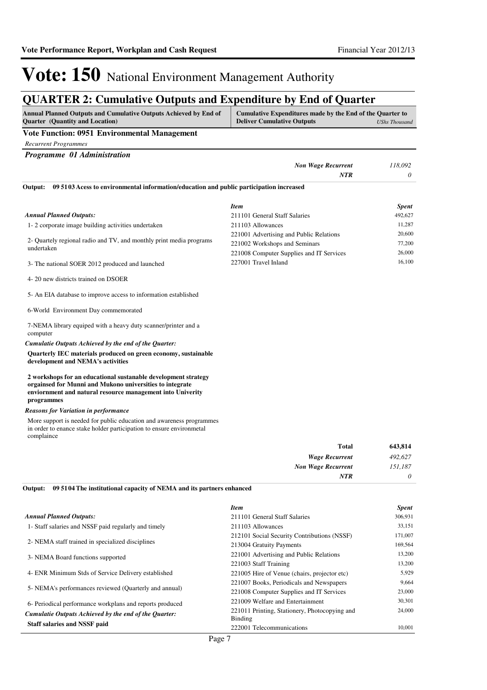## **QUARTER 2: Cumulative Outputs and Expenditure by End of Quarter**

| <b>Annual Planned Outputs and Cumulative Outputs Achieved by End of</b> | Cumulative Expenditures made by the End of the Quarter to |               |
|-------------------------------------------------------------------------|-----------------------------------------------------------|---------------|
| <b>Ouarter</b> (Quantity and Location)                                  | <b>Deliver Cumulative Outputs</b>                         | UShs Thousand |

#### **Vote Function: 0951 Environmental Management**

*Recurrent Programmes*

|         | Programme 01 Administration                                                             |         |
|---------|-----------------------------------------------------------------------------------------|---------|
|         | <b>Non Wage Recurrent</b>                                                               | 118,092 |
|         | NTR                                                                                     |         |
| Output: | 09 5103 Acess to environmental information/education and public participation increased |         |

|                                                                                   | <b>Item</b>                              | <b>Spent</b> |
|-----------------------------------------------------------------------------------|------------------------------------------|--------------|
| Annual Planned Outputs:                                                           | 211101 General Staff Salaries            | 492,627      |
| 1-2 corporate image building activities undertaken                                | 211103 Allowances                        | 11.287       |
|                                                                                   | 221001 Advertising and Public Relations  | 20,600       |
| 2- Quartely regional radio and TV, and monthly print media programs<br>undertaken | 221002 Workshops and Seminars            | 77,200       |
|                                                                                   | 221008 Computer Supplies and IT Services | 26,000       |
| 3- The national SOER 2012 produced and launched                                   | 227001 Travel Inland                     | 16.100       |

4- 20 new districts trained on DSOER

5- An EIA database to improve access to information established

#### 6-World Environment Day commemorated

7-NEMA library equiped with a heavy duty scanner/printer and a computer

*Cumulatie Outputs Achieved by the end of the Quarter:*

**Quarterly IEC materials produced on green economy, sustainable development and NEMA's activities**

#### **2 workshops for an educational sustanable development strategy orgainsed for Munni and Mukono universities to integrate enviornment and natural resource management into Univerity programmes**

#### *Reasons for Variation in performance*

More support is needed for public education and awareness programmes in order to enance stake holder participation to ensure environmetal complaince

| 643,814  | <b>Total</b>              |
|----------|---------------------------|
| 492,627  | <b>Wage Recurrent</b>     |
| 151,187  | <b>Non Wage Recurrent</b> |
| $\theta$ | <b>NTR</b>                |

**09 5104 The institutional capacity of NEMA and its partners enhanced Output:**

|                                                          | Item                                                     | <b>Spent</b> |  |
|----------------------------------------------------------|----------------------------------------------------------|--------------|--|
| <b>Annual Planned Outputs:</b>                           | 211101 General Staff Salaries                            | 306,931      |  |
| 1- Staff salaries and NSSF paid regularly and timely     | 211103 Allowances                                        | 33,151       |  |
|                                                          | 212101 Social Security Contributions (NSSF)              | 171,007      |  |
| 2- NEMA staff trained in specialized disciplines         | 213004 Gratuity Payments                                 | 169,564      |  |
| 3- NEMA Board functions supported                        | 221001 Advertising and Public Relations                  | 13,200       |  |
|                                                          | 221003 Staff Training                                    | 13,200       |  |
| 4- ENR Minimum Stds of Service Delivery established      | 221005 Hire of Venue (chairs, projector etc)             | 5,929        |  |
|                                                          | 221007 Books, Periodicals and Newspapers                 | 9.664        |  |
| 5- NEMA's performances reviewed (Quarterly and annual)   | 221008 Computer Supplies and IT Services                 | 23,000       |  |
| 6- Periodical performance workplans and reports produced | 221009 Welfare and Entertainment                         | 30,301       |  |
| Cumulatie Outputs Achieved by the end of the Ouarter:    | 221011 Printing, Stationery, Photocopying and<br>Binding | 24,000       |  |
| <b>Staff salaries and NSSF paid</b>                      | 222001 Telecommunications                                | 10.001       |  |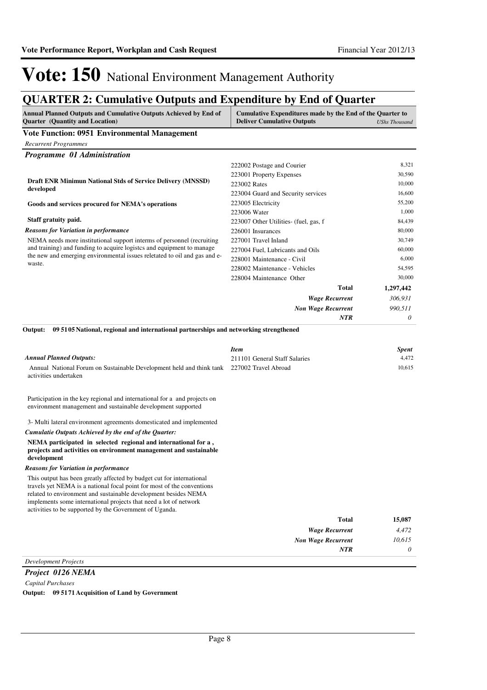## **QUARTER 2: Cumulative Outputs and Expenditure by End of Quarter**

| <b>Annual Planned Outputs and Cumulative Outputs Achieved by End of</b><br><b>Quarter</b> (Quantity and Location)                                                                                                                                                                                                                                  | Cumulative Expenditures made by the End of the Quarter to<br><b>Deliver Cumulative Outputs</b><br><b>UShs Thousand</b> |                       |
|----------------------------------------------------------------------------------------------------------------------------------------------------------------------------------------------------------------------------------------------------------------------------------------------------------------------------------------------------|------------------------------------------------------------------------------------------------------------------------|-----------------------|
| <b>Vote Function: 0951 Environmental Management</b>                                                                                                                                                                                                                                                                                                |                                                                                                                        |                       |
| <b>Recurrent Programmes</b>                                                                                                                                                                                                                                                                                                                        |                                                                                                                        |                       |
| Programme 01 Administration                                                                                                                                                                                                                                                                                                                        |                                                                                                                        |                       |
|                                                                                                                                                                                                                                                                                                                                                    | 222002 Postage and Courier                                                                                             | 8,321                 |
|                                                                                                                                                                                                                                                                                                                                                    | 223001 Property Expenses                                                                                               | 30,590                |
| Draft ENR Minimun National Stds of Service Delivery (MNSSD)                                                                                                                                                                                                                                                                                        | 223002 Rates                                                                                                           | 10,000                |
| developed                                                                                                                                                                                                                                                                                                                                          | 223004 Guard and Security services                                                                                     | 16,600                |
| Goods and services procured for NEMA's operations                                                                                                                                                                                                                                                                                                  | 223005 Electricity                                                                                                     | 55,200                |
|                                                                                                                                                                                                                                                                                                                                                    | 223006 Water                                                                                                           | 1,000                 |
| Staff gratuity paid.                                                                                                                                                                                                                                                                                                                               | 223007 Other Utilities- (fuel, gas, f                                                                                  | 84,439                |
| <b>Reasons for Variation in performance</b>                                                                                                                                                                                                                                                                                                        | 226001 Insurances                                                                                                      | 80,000                |
| NEMA needs more institutional support interms of personnel (recruiting                                                                                                                                                                                                                                                                             | 227001 Travel Inland                                                                                                   | 30,749                |
| and training) and funding to acquire logistes and equipment to manage                                                                                                                                                                                                                                                                              | 227004 Fuel, Lubricants and Oils                                                                                       | 60,000                |
| the new and emerging environmental issues reletated to oil and gas and e-<br>waste.                                                                                                                                                                                                                                                                | 228001 Maintenance - Civil                                                                                             | 6,000                 |
|                                                                                                                                                                                                                                                                                                                                                    | 228002 Maintenance - Vehicles                                                                                          | 54,595                |
|                                                                                                                                                                                                                                                                                                                                                    | 228004 Maintenance Other                                                                                               | 30,000                |
|                                                                                                                                                                                                                                                                                                                                                    | <b>Total</b>                                                                                                           | 1,297,442             |
|                                                                                                                                                                                                                                                                                                                                                    | <b>Wage Recurrent</b>                                                                                                  | 306,931               |
|                                                                                                                                                                                                                                                                                                                                                    | <b>Non Wage Recurrent</b>                                                                                              | 990,511               |
|                                                                                                                                                                                                                                                                                                                                                    | NTR                                                                                                                    | 0                     |
| 09 51 05 National, regional and international partnerships and networking strengthened<br><b>Annual Planned Outputs:</b>                                                                                                                                                                                                                           | <b>Item</b><br>211101 General Staff Salaries                                                                           | <b>Spent</b><br>4,472 |
| Annual National Forum on Sustainable Development held and think tank 227002 Travel Abroad<br>activities undertaken                                                                                                                                                                                                                                 |                                                                                                                        | 10,615                |
| Participation in the key regional and international for a and projects on<br>environment management and sustainable development supported                                                                                                                                                                                                          |                                                                                                                        |                       |
| 3- Multi lateral environment agreements domesticated and implemented                                                                                                                                                                                                                                                                               |                                                                                                                        |                       |
| Cumulatie Outputs Achieved by the end of the Quarter:                                                                                                                                                                                                                                                                                              |                                                                                                                        |                       |
| NEMA participated in selected regional and international for a,<br>projects and activities on environment management and sustainable<br>development                                                                                                                                                                                                |                                                                                                                        |                       |
| <b>Reasons for Variation in performance</b>                                                                                                                                                                                                                                                                                                        |                                                                                                                        |                       |
| This output has been greatly affected by budget cut for international<br>travels yet NEMA is a national focal point for most of the conventions<br>related to environment and sustainable development besides NEMA<br>implements some international projects that need a lot of network<br>activities to be supported by the Government of Uganda. |                                                                                                                        |                       |
|                                                                                                                                                                                                                                                                                                                                                    | <b>Total</b>                                                                                                           | 15,087                |
|                                                                                                                                                                                                                                                                                                                                                    | <b>Wage Recurrent</b>                                                                                                  | 4,472                 |
|                                                                                                                                                                                                                                                                                                                                                    | <b>Non Wage Recurrent</b>                                                                                              | 10,615                |
|                                                                                                                                                                                                                                                                                                                                                    | NTR                                                                                                                    | 0                     |

### *Development Projects*

*Project 0126 NEMA Capital Purchases* **Output: 09 5171 Acquisition of Land by Government**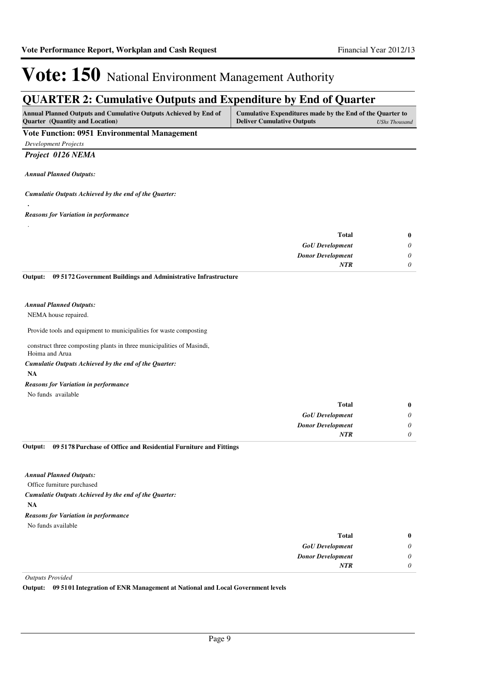## **QUARTER 2: Cumulative Outputs and Expenditure by End of Quarter**

| <b>Annual Planned Outputs and Cumulative Outputs Achieved by End of</b> | Cumulative Expenditures made by the End of the Quarter to |               |
|-------------------------------------------------------------------------|-----------------------------------------------------------|---------------|
| <b>Ouarter</b> (Quantity and Location)                                  | <b>Deliver Cumulative Outputs</b>                         | UShs Thousand |

#### **Vote Function: 0951 Environmental Management**

*Development Projects*

#### *Project 0126 NEMA*

*Annual Planned Outputs:*

**.**

#### *Cumulatie Outputs Achieved by the end of the Quarter:*

#### *Reasons for Variation in performance*

| $\bf{0}$ | Total                    |
|----------|--------------------------|
| 0        | <b>GoU</b> Development   |
| 0        | <b>Donor Development</b> |
|          | <b>NTR</b>               |
|          |                          |

**09 5172 Government Buildings and Administrative Infrastructure Output:**

#### *Annual Planned Outputs:*

#### NEMA house repaired.

Provide tools and equipment to municipalities for waste composting

construct three composting plants in three municipalities of Masindi, Hoima and Arua

#### *Cumulatie Outputs Achieved by the end of the Quarter:*

**NA**

#### *Reasons for Variation in performance*

No funds available

| $\bf{0}$                  | <b>Total</b>             |
|---------------------------|--------------------------|
| $\boldsymbol{\mathsf{U}}$ | <b>GoU</b> Development   |
| U                         | <b>Donor Development</b> |
| $\upsilon$                | <b>NTR</b>               |

#### **09 5178 Purchase of Office and Residential Furniture and Fittings Output:**

#### *Annual Planned Outputs:*

Office furniture purchased

*Cumulatie Outputs Achieved by the end of the Quarter:*

**NA**

### *Reasons for Variation in performance*

No funds available

| <b>Total</b>             | $\bf{0}$ |
|--------------------------|----------|
| <b>GoU</b> Development   | 0        |
| <b>Donor Development</b> | 0        |
| <b>NTR</b>               | 0        |

#### *Outputs Provided*

**Output: 09 5101 Integration of ENR Management at National and Local Government levels**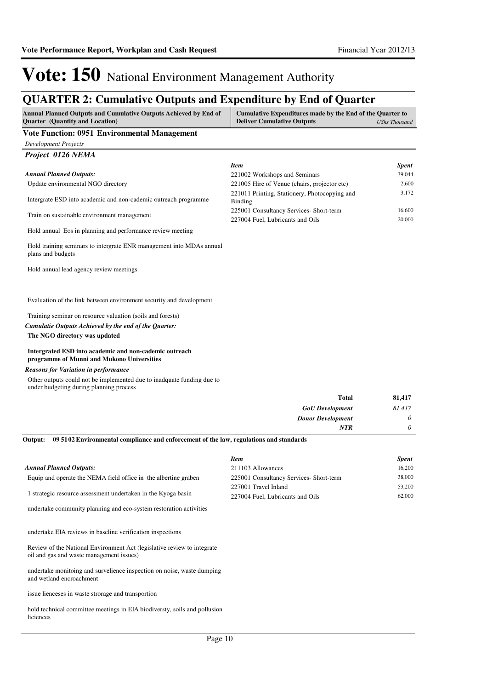# **QUARTER 2: Cumulative Outputs and Expenditure by End of Quarter**

| QUANTER 2. Camalative Outputs and Expenditure by Eina of Quarter<br>Annual Planned Outputs and Cumulative Outputs Achieved by End of<br>Cumulative Expenditures made by the End of the Quarter to |                                                              |                      |  |
|---------------------------------------------------------------------------------------------------------------------------------------------------------------------------------------------------|--------------------------------------------------------------|----------------------|--|
| Quarter (Quantity and Location)                                                                                                                                                                   | <b>Deliver Cumulative Outputs</b>                            | <b>UShs Thousand</b> |  |
| <b>Vote Function: 0951 Environmental Management</b>                                                                                                                                               |                                                              |                      |  |
| <b>Development Projects</b><br>Project 0126 NEMA                                                                                                                                                  |                                                              |                      |  |
|                                                                                                                                                                                                   | <b>Item</b>                                                  | Spent                |  |
| <b>Annual Planned Outputs:</b>                                                                                                                                                                    | 221002 Workshops and Seminars                                | 39,044               |  |
| Update environmental NGO directory                                                                                                                                                                | 221005 Hire of Venue (chairs, projector etc)                 | 2,600                |  |
| Intergrate ESD into academic and non-cademic outreach programme                                                                                                                                   | 221011 Printing, Stationery, Photocopying and                | 3,172                |  |
|                                                                                                                                                                                                   | Binding<br>225001 Consultancy Services- Short-term           | 16,600               |  |
| Train on sustainable environment management                                                                                                                                                       | 227004 Fuel, Lubricants and Oils                             | 20,000               |  |
| Hold annual Eos in planning and performance review meeting                                                                                                                                        |                                                              |                      |  |
| Hold training seminars to intergrate ENR management into MDAs annual<br>plans and budgets                                                                                                         |                                                              |                      |  |
| Hold annual lead agency review meetings                                                                                                                                                           |                                                              |                      |  |
| Evaluation of the link between environment security and development                                                                                                                               |                                                              |                      |  |
| Training seminar on resource valuation (soils and forests)                                                                                                                                        |                                                              |                      |  |
| Cumulatie Outputs Achieved by the end of the Quarter:                                                                                                                                             |                                                              |                      |  |
| The NGO directory was updated                                                                                                                                                                     |                                                              |                      |  |
| Intergrated ESD into academic and non-cademic outreach<br>programme of Munni and Mukono Universities                                                                                              |                                                              |                      |  |
| <b>Reasons for Variation in performance</b>                                                                                                                                                       |                                                              |                      |  |
| Other outputs could not be implemented due to inadquate funding due to<br>under budgeting during planning process                                                                                 |                                                              |                      |  |
|                                                                                                                                                                                                   | <b>Total</b>                                                 | 81,417               |  |
|                                                                                                                                                                                                   | <b>GoU</b> Development                                       | 81,417               |  |
|                                                                                                                                                                                                   | <b>Donor Development</b>                                     | 0                    |  |
| 09 51 02 Environmental compliance and enforcement of the law, regulations and standards<br>Output:                                                                                                | <b>NTR</b>                                                   | 0                    |  |
|                                                                                                                                                                                                   |                                                              |                      |  |
|                                                                                                                                                                                                   | <b>Item</b>                                                  | <b>Spent</b>         |  |
| <b>Annual Planned Outputs:</b><br>Equip and operate the NEMA field office in the albertine graben                                                                                                 | 211103 Allowances<br>225001 Consultancy Services- Short-term | 16,200<br>38,000     |  |
|                                                                                                                                                                                                   | 227001 Travel Inland                                         | 53,200               |  |
| 1 strategic resource assessment undertaken in the Kyoga basin                                                                                                                                     | 227004 Fuel, Lubricants and Oils                             | 62,000               |  |
| undertake community planning and eco-system restoration activities                                                                                                                                |                                                              |                      |  |
| undertake EIA reviews in baseline verification inspections                                                                                                                                        |                                                              |                      |  |
| Review of the National Environment Act (legislative review to integrate<br>oil and gas and waste management issues)                                                                               |                                                              |                      |  |
| undertake monitoing and survelience inspection on noise, waste dumping<br>and wetland encroachment                                                                                                |                                                              |                      |  |
| issue lienceses in waste strorage and transportion                                                                                                                                                |                                                              |                      |  |
|                                                                                                                                                                                                   |                                                              |                      |  |

hold technical committee meetings in EIA biodiversty, soils and pollusion liciences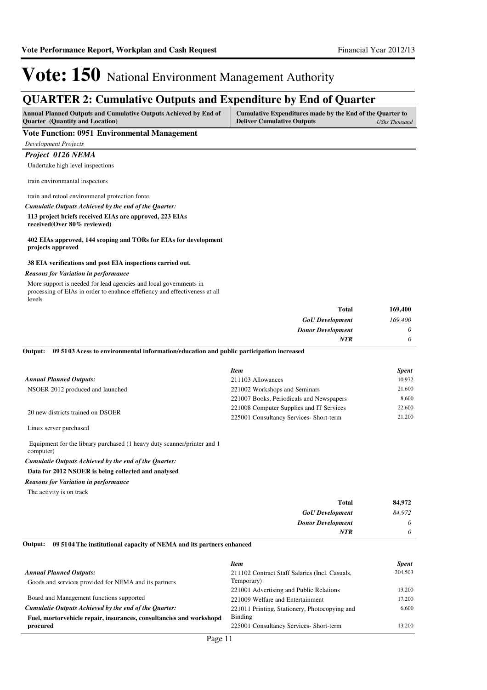## **QUARTER 2: Cumulative Outputs and Expenditure by End of Quarter**

| Annual Planned Outputs and Cumulative Outputs Achieved by End of | Cumulative Expenditures made by the End of the Quarter to |               |
|------------------------------------------------------------------|-----------------------------------------------------------|---------------|
| <b>Ouarter</b> (Quantity and Location)                           | <b>Deliver Cumulative Outputs</b>                         | UShs Thousand |

#### **Vote Function: 0951 Environmental Management**

*Development Projects*

*Project 0126 NEMA*

Undertake high level inspections

train environmantal inspectors

train and retool environmenal protection force.

#### **113 project briefs received EIAs are approved, 223 EIAs**  *Cumulatie Outputs Achieved by the end of the Quarter:*

**received(Over 80% reviewed)**

#### **402 EIAs approved, 144 scoping and TORs for EIAs for development projects approved**

#### **38 EIA verifications and post EIA inspections carried out.**

#### *Reasons for Variation in performance*

More support is needed for lead agencies and local governments in processing of EIAs in order to enahnce effefiency and effectiveness at all levels

| <b>Total</b>             | 169,400  |
|--------------------------|----------|
| <b>GoU</b> Development   | 169,400  |
| <b>Donor Development</b> | $\theta$ |
| <b>NTR</b>               | $\theta$ |

**09 5103 Acess to environmental information/education and public participation increased Output:**

|                                   | <b>Item</b>                              | <b>Spent</b> |
|-----------------------------------|------------------------------------------|--------------|
| <b>Annual Planned Outputs:</b>    | 211103 Allowances                        | 10,972       |
| NSOER 2012 produced and launched  | 221002 Workshops and Seminars            | 21,600       |
|                                   | 221007 Books, Periodicals and Newspapers | 8.600        |
| 20 new districts trained on DSOER | 221008 Computer Supplies and IT Services | 22,600       |
|                                   | 225001 Consultancy Services- Short-term  | 21,200       |

Linux server purchased

 Equipment for the library purchased (1 heavy duty scanner/printer and 1 computer)

#### *Cumulatie Outputs Achieved by the end of the Quarter:*

#### **Data for 2012 NSOER is being collected and analysed**

*Reasons for Variation in performance*

The activity is on track

| 84,972   | <b>Total</b>             |
|----------|--------------------------|
| 84,972   | <b>GoU</b> Development   |
| $\theta$ | <b>Donor Development</b> |
| υ        | <b>NTR</b>               |
|          |                          |

#### **09 5104 The institutional capacity of NEMA and its partners enhanced Output:**

|                                                                     | <b>Item</b>                                    | <b>Spent</b> |
|---------------------------------------------------------------------|------------------------------------------------|--------------|
| <b>Annual Planned Outputs:</b>                                      | 211102 Contract Staff Salaries (Incl. Casuals, | 204,503      |
| Goods and services provided for NEMA and its partners               | Temporary)                                     |              |
|                                                                     | 221001 Advertising and Public Relations        | 13.200       |
| Board and Management functions supported                            | 221009 Welfare and Entertainment               | 17.200       |
| Cumulatie Outputs Achieved by the end of the Ouarter:               | 221011 Printing, Stationery, Photocopying and  | 6.600        |
| Fuel, mortorvehicle repair, insurances, consultancies and workshopd | Binding                                        |              |
| procured                                                            | 225001 Consultancy Services- Short-term        | 13.200       |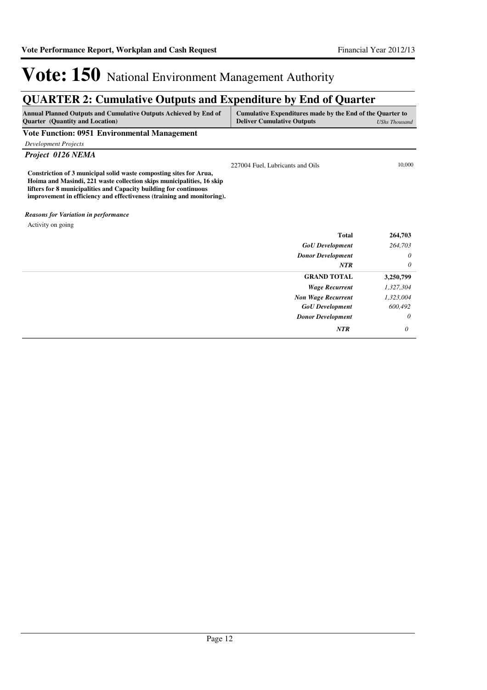# **QUARTER 2: Cumulative Outputs and Expenditure by End of Quarter**

| Annual Planned Outputs and Cumulative Outputs Achieved by End of<br><b>Quarter</b> (Quantity and Location)                                                                                                                                                                                 | Cumulative Expenditures made by the End of the Quarter to<br><b>Deliver Cumulative Outputs</b> | <b>UShs Thousand</b> |
|--------------------------------------------------------------------------------------------------------------------------------------------------------------------------------------------------------------------------------------------------------------------------------------------|------------------------------------------------------------------------------------------------|----------------------|
| <b>Vote Function: 0951 Environmental Management</b>                                                                                                                                                                                                                                        |                                                                                                |                      |
| <b>Development Projects</b>                                                                                                                                                                                                                                                                |                                                                                                |                      |
| Project 0126 NEMA                                                                                                                                                                                                                                                                          |                                                                                                |                      |
| Constriction of 3 municipal solid waste composting sites for Arua,<br>Hoima and Masindi, 221 waste collection skips municipalities, 16 skip<br>lifters for 8 municipalities and Capacity building for continuous<br>improvement in efficiency and effectiveness (training and monitoring). | 227004 Fuel, Lubricants and Oils                                                               | 10,000               |
| <b>Reasons for Variation in performance</b>                                                                                                                                                                                                                                                |                                                                                                |                      |
| Activity on going                                                                                                                                                                                                                                                                          |                                                                                                |                      |
|                                                                                                                                                                                                                                                                                            | <b>Total</b>                                                                                   | 264,703              |
|                                                                                                                                                                                                                                                                                            | <b>GoU</b> Development                                                                         | 264,703              |
|                                                                                                                                                                                                                                                                                            | <b>Donor Development</b>                                                                       | 0                    |
|                                                                                                                                                                                                                                                                                            | <b>NTR</b>                                                                                     | 0                    |
|                                                                                                                                                                                                                                                                                            | <b>GRAND TOTAL</b>                                                                             | 3,250,799            |
|                                                                                                                                                                                                                                                                                            | <b>Wage Recurrent</b>                                                                          | 1,327,304            |
|                                                                                                                                                                                                                                                                                            | <b>Non Wage Recurrent</b>                                                                      | 1,323,004            |
|                                                                                                                                                                                                                                                                                            | <b>GoU</b> Development                                                                         | 600,492              |
|                                                                                                                                                                                                                                                                                            | <b>Donor Development</b>                                                                       | 0                    |
|                                                                                                                                                                                                                                                                                            | <b>NTR</b>                                                                                     | 0                    |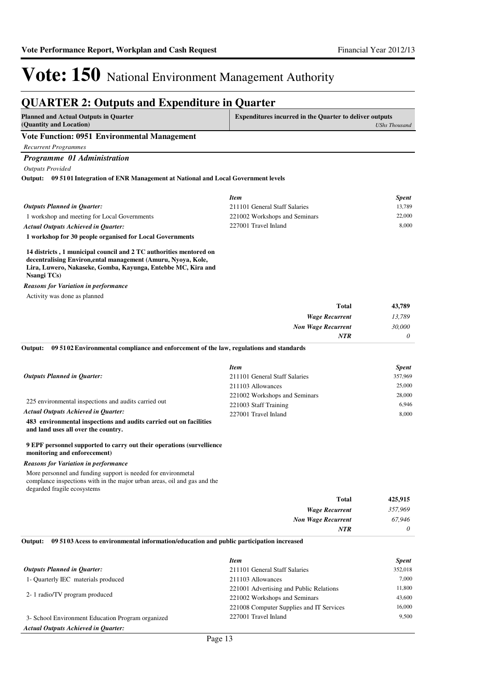## **QUARTER 2: Outputs and Expenditure in Quarter**

| <b>Planned and Actual Outputs in Quarter</b><br>(Quantity and Location)                                                                                                                                                                                                                                                                                  | <b>Expenditures incurred in the Quarter to deliver outputs</b>                                                                                      |                                                               |
|----------------------------------------------------------------------------------------------------------------------------------------------------------------------------------------------------------------------------------------------------------------------------------------------------------------------------------------------------------|-----------------------------------------------------------------------------------------------------------------------------------------------------|---------------------------------------------------------------|
|                                                                                                                                                                                                                                                                                                                                                          |                                                                                                                                                     | <b>UShs Thousand</b>                                          |
| <b>Vote Function: 0951 Environmental Management</b>                                                                                                                                                                                                                                                                                                      |                                                                                                                                                     |                                                               |
| <b>Recurrent Programmes</b>                                                                                                                                                                                                                                                                                                                              |                                                                                                                                                     |                                                               |
| Programme 01 Administration                                                                                                                                                                                                                                                                                                                              |                                                                                                                                                     |                                                               |
| <b>Outputs Provided</b>                                                                                                                                                                                                                                                                                                                                  |                                                                                                                                                     |                                                               |
| Output: 09 5101 Integration of ENR Management at National and Local Government levels                                                                                                                                                                                                                                                                    |                                                                                                                                                     |                                                               |
|                                                                                                                                                                                                                                                                                                                                                          | <b>Item</b>                                                                                                                                         | <b>Spent</b>                                                  |
| <b>Outputs Planned in Quarter:</b>                                                                                                                                                                                                                                                                                                                       | 211101 General Staff Salaries                                                                                                                       | 13,789                                                        |
| 1 workshop and meeting for Local Governments                                                                                                                                                                                                                                                                                                             | 221002 Workshops and Seminars                                                                                                                       | 22,000                                                        |
| <b>Actual Outputs Achieved in Quarter:</b>                                                                                                                                                                                                                                                                                                               | 227001 Travel Inland                                                                                                                                | 8,000                                                         |
| 1 workshop for 30 people organised for Local Governments                                                                                                                                                                                                                                                                                                 |                                                                                                                                                     |                                                               |
|                                                                                                                                                                                                                                                                                                                                                          |                                                                                                                                                     |                                                               |
| 14 districts, 1 municipal council and 2 TC authorities mentored on<br>decentralising Environ, ental management (Amuru, Nyoya, Kole,<br>Lira, Luwero, Nakaseke, Gomba, Kayunga, Entebbe MC, Kira and<br><b>Nsangi TCs</b> )                                                                                                                               |                                                                                                                                                     |                                                               |
| Reasons for Variation in performance                                                                                                                                                                                                                                                                                                                     |                                                                                                                                                     |                                                               |
| Activity was done as planned                                                                                                                                                                                                                                                                                                                             |                                                                                                                                                     |                                                               |
|                                                                                                                                                                                                                                                                                                                                                          | <b>Total</b>                                                                                                                                        | 43,789                                                        |
|                                                                                                                                                                                                                                                                                                                                                          | <b>Wage Recurrent</b>                                                                                                                               | 13,789                                                        |
|                                                                                                                                                                                                                                                                                                                                                          | <b>Non Wage Recurrent</b>                                                                                                                           | 30,000                                                        |
|                                                                                                                                                                                                                                                                                                                                                          | <b>NTR</b>                                                                                                                                          | 0                                                             |
| <b>Outputs Planned in Quarter:</b><br>225 environmental inspections and audits carried out<br>Actual Outputs Achieved in Quarter:<br>483 environmental inspections and audits carried out on facilities<br>and land uses all over the country.<br>9 EPF personnel supported to carry out their operations (survellience)<br>monitoring and enforecement) | <b>Item</b><br>211101 General Staff Salaries<br>211103 Allowances<br>221002 Workshops and Seminars<br>221003 Staff Training<br>227001 Travel Inland | <b>Spent</b><br>357,969<br>25,000<br>28,000<br>6,946<br>8,000 |
| Reasons for Variation in performance                                                                                                                                                                                                                                                                                                                     |                                                                                                                                                     |                                                               |
| More personnel and funding support is needed for environmetal<br>complance inspections with in the major urban areas, oil and gas and the<br>degarded fragile ecosystems                                                                                                                                                                                 |                                                                                                                                                     |                                                               |
|                                                                                                                                                                                                                                                                                                                                                          | <b>Total</b>                                                                                                                                        | 425,915                                                       |
|                                                                                                                                                                                                                                                                                                                                                          | <b>Wage Recurrent</b>                                                                                                                               | 357,969                                                       |
|                                                                                                                                                                                                                                                                                                                                                          | <b>Non Wage Recurrent</b>                                                                                                                           | 67,946                                                        |
|                                                                                                                                                                                                                                                                                                                                                          | <b>NTR</b>                                                                                                                                          | 0                                                             |
| 09 5103 Acess to environmental information/education and public participation increased<br>Output:                                                                                                                                                                                                                                                       |                                                                                                                                                     |                                                               |
|                                                                                                                                                                                                                                                                                                                                                          | <b>Item</b>                                                                                                                                         | <b>Spent</b>                                                  |
| <b>Outputs Planned in Quarter:</b>                                                                                                                                                                                                                                                                                                                       | 211101 General Staff Salaries                                                                                                                       | 352,018                                                       |
| 1- Quarterly IEC materials produced                                                                                                                                                                                                                                                                                                                      | 211103 Allowances                                                                                                                                   | 7,000                                                         |
|                                                                                                                                                                                                                                                                                                                                                          | 221001 Advertising and Public Relations                                                                                                             | 11,800                                                        |
| 2-1 radio/TV program produced                                                                                                                                                                                                                                                                                                                            | 221002 Workshops and Seminars                                                                                                                       | 43,600                                                        |
|                                                                                                                                                                                                                                                                                                                                                          | 221008 Computer Supplies and IT Services                                                                                                            | 16,000                                                        |

3- School Environment Education Program organized *Actual Outputs Achieved in Quarter:*

227001 Travel Inland 9,500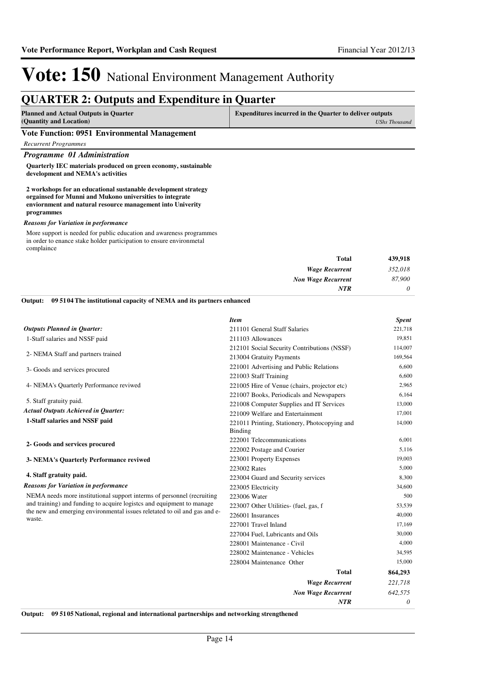## **QUARTER 2: Outputs and Expenditure in Quarter**

| <b>Planned and Actual Outputs in Quarter</b>                                     | <b>Expenditures incurred in the Quarter to deliver outputs</b> |  |
|----------------------------------------------------------------------------------|----------------------------------------------------------------|--|
| (Quantity and Location)                                                          | UShs Thousand                                                  |  |
| $\mathbf{v}$ and $\mathbf{v}$ and $\mathbf{v}$ and $\mathbf{v}$ and $\mathbf{v}$ |                                                                |  |

#### **Vote Function: 0951 Environmental Management**

*Recurrent Programmes*

*Programme 01 Administration*

**Quarterly IEC materials produced on green economy, sustainable development and NEMA's activities**

**2 workshops for an educational sustanable development strategy orgainsed for Munni and Mukono universities to integrate enviornment and natural resource management into Univerity programmes**

#### *Reasons for Variation in performance*

More support is needed for public education and awareness programmes in order to enance stake holder participation to ensure environmetal complaince

| 439,918  |
|----------|
| 352,018  |
| 87,900   |
| $\theta$ |
|          |

#### **09 5104 The institutional capacity of NEMA and its partners enhanced Output:**

|                                                                                                                                                              | <b>Item</b>                                   | <b>Spent</b> |
|--------------------------------------------------------------------------------------------------------------------------------------------------------------|-----------------------------------------------|--------------|
| <b>Outputs Planned in Quarter:</b>                                                                                                                           | 211101 General Staff Salaries                 | 221,718      |
| 1-Staff salaries and NSSF paid                                                                                                                               | 211103 Allowances                             | 19,851       |
|                                                                                                                                                              | 212101 Social Security Contributions (NSSF)   | 114,007      |
| 2- NEMA Staff and partners trained                                                                                                                           | 213004 Gratuity Payments                      | 169,564      |
| 3- Goods and services procured                                                                                                                               | 221001 Advertising and Public Relations       | 6,600        |
|                                                                                                                                                              | 221003 Staff Training                         | 6,600        |
| 4- NEMA's Quarterly Performance reviwed                                                                                                                      | 221005 Hire of Venue (chairs, projector etc)  | 2,965        |
|                                                                                                                                                              | 221007 Books, Periodicals and Newspapers      | 6,164        |
| 5. Staff gratuity paid.                                                                                                                                      | 221008 Computer Supplies and IT Services      | 13,000       |
| <b>Actual Outputs Achieved in Quarter:</b>                                                                                                                   | 221009 Welfare and Entertainment              | 17,001       |
| 1-Staff salaries and NSSF paid                                                                                                                               | 221011 Printing, Stationery, Photocopying and | 14,000       |
|                                                                                                                                                              | Binding                                       |              |
| 2- Goods and services procured                                                                                                                               | 222001 Telecommunications                     | 6,001        |
|                                                                                                                                                              | 222002 Postage and Courier                    | 5,116        |
| 3- NEMA's Quarterly Performance reviwed                                                                                                                      | 223001 Property Expenses                      | 19,003       |
|                                                                                                                                                              | 223002 Rates                                  | 5,000        |
| 4. Staff gratuity paid.                                                                                                                                      | 223004 Guard and Security services            | 8,300        |
| <b>Reasons for Variation in performance</b>                                                                                                                  | 223005 Electricity                            | 34,600       |
| NEMA needs more institutional support interms of personnel (recruiting                                                                                       | 223006 Water                                  | 500          |
| and training) and funding to acquire logistes and equipment to manage<br>the new and emerging environmental issues reletated to oil and gas and e-<br>waste. | 223007 Other Utilities- (fuel, gas, f         | 53,539       |
|                                                                                                                                                              | 226001 Insurances                             | 40,000       |
|                                                                                                                                                              | 227001 Travel Inland                          | 17,169       |
|                                                                                                                                                              | 227004 Fuel, Lubricants and Oils              | 30,000       |
|                                                                                                                                                              | 228001 Maintenance - Civil                    | 4,000        |
|                                                                                                                                                              | 228002 Maintenance - Vehicles                 | 34,595       |
|                                                                                                                                                              | 228004 Maintenance Other                      | 15,000       |
|                                                                                                                                                              | <b>Total</b>                                  | 864,293      |
|                                                                                                                                                              | <b>Wage Recurrent</b>                         | 221,718      |
|                                                                                                                                                              | <b>Non Wage Recurrent</b>                     | 642,575      |
|                                                                                                                                                              | <b>NTR</b>                                    | 0            |

**Output: 09 5105 National, regional and international partnerships and networking strengthened**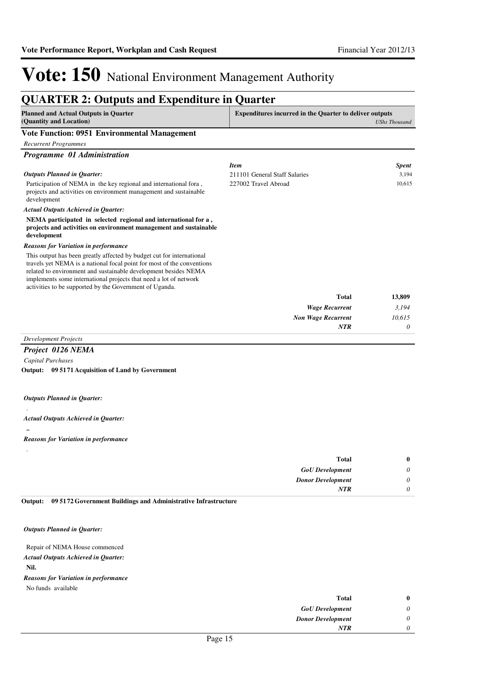#### **QUARTER 2: Outputs and Expenditure in Quarter Planned and Actual Outputs in Quarter (Quantity and Location) Expenditures incurred in the Quarter to deliver outputs**  *UShs Thousand* **Vote Function: 0951 Environmental Management** *Recurrent Programmes Programme 01 Administration* Participation of NEMA in the key regional and international fora , projects and activities on environment management and sustainable development **NEMA participated in selected regional and international for a , projects and activities on environment management and sustainable development** *Wage Recurrent Non Wage Recurrent* **Total** *3,194 10,615 0* **13,809** *Actual Outputs Achieved in Quarter: Outputs Planned in Quarter: NTR* This output has been greatly affected by budget cut for international travels yet NEMA is a national focal point for most of the conventions related to environment and sustainable development besides NEMA implements some international projects that need a lot of network activities to be supported by the Government of Uganda. *Reasons for Variation in performance Item Spent* 211101 General Staff Salaries 3,194 227002 Travel Abroad 10,615

### *Development Projects*

## *Project 0126 NEMA*

*Capital Purchases* **09 5171 Acquisition of Land by Government Output:**

#### *Outputs Planned in Quarter:*

#### *Actual Outputs Achieved in Quarter:*

**..**

.

.

#### *Reasons for Variation in performance*

| <b>Total</b>             | $\bf{0}$ |
|--------------------------|----------|
| <b>GoU</b> Development   | 0        |
| <b>Donor Development</b> | 0        |
| <b>NTR</b>               |          |
|                          |          |

**09 5172 Government Buildings and Administrative Infrastructure Output:**

#### *Outputs Planned in Quarter:*

#### Repair of NEMA House commenced **Nil.** *Actual Outputs Achieved in Quarter:* No funds available *Reasons for Variation in performance*

| $\mathbf{0}$ |
|--------------|
| 0            |
| 0            |
| 0            |
|              |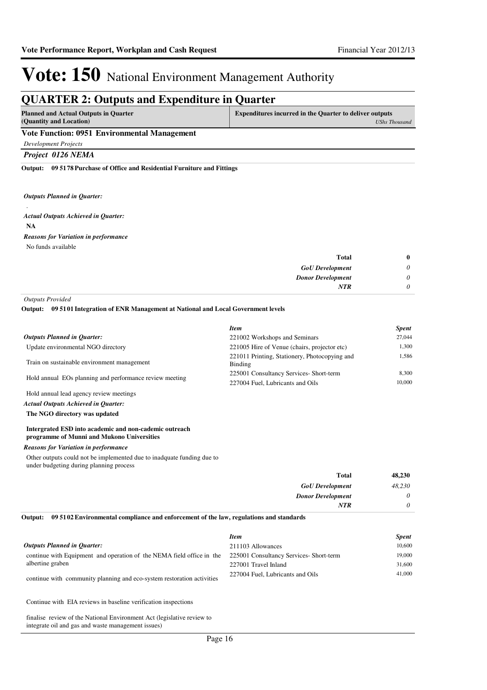## **QUARTER 2: Outputs and Expenditure in Quarter**

| Planned and Actual Outputs in Quarter          | Expenditures incurred in the Quarter to deliver outputs |
|------------------------------------------------|---------------------------------------------------------|
| (Quantity and Location)                        | UShs Thousand                                           |
| Vete Franction: 0051 Francescontol Monogoucart |                                                         |

#### **Vote Function: 0951 Environmental Management**

*Development Projects*

*Project 0126 NEMA*

**09 5178 Purchase of Office and Residential Furniture and Fittings Output:**

#### *Outputs Planned in Quarter:*

. **NA** *Actual Outputs Achieved in Quarter:* No funds available *Reasons for Variation in performance*

| $\boldsymbol{0}$ | Total                    |
|------------------|--------------------------|
| $\theta$         | <b>GoU</b> Development   |
| $\theta$         | <b>Donor Development</b> |
| 0                | <b>NTR</b>               |

*Outputs Provided*

**09 5101 Integration of ENR Management at National and Local Government levels Output:**

|                                                         | <b>Item</b>                                              | <b>Spent</b> |
|---------------------------------------------------------|----------------------------------------------------------|--------------|
| <b>Outputs Planned in Ouarter:</b>                      | 221002 Workshops and Seminars                            | 27,044       |
| Update environmental NGO directory                      | 221005 Hire of Venue (chairs, projector etc)             | 1.300        |
| Train on sustainable environment management             | 221011 Printing, Stationery, Photocopying and<br>Binding | 1.586        |
| Hold annual EOs planning and performance review meeting | 225001 Consultancy Services- Short-term                  | 8.300        |
|                                                         | 227004 Fuel, Lubricants and Oils                         | 10,000       |
| Hold annual lead agency review meetings                 |                                                          |              |

*Actual Outputs Achieved in Quarter:*

**The NGO directory was updated**

#### **Intergrated ESD into academic and non-cademic outreach programme of Munni and Mukono Universities**

#### *Reasons for Variation in performance*

Other outputs could not be implemented due to inadquate funding due to under budgeting during planning process

| 48,230   | Total                    |
|----------|--------------------------|
| 48,230   | <b>GoU</b> Development   |
| 0        | <b>Donor Development</b> |
| $\theta$ | <b>NTR</b>               |

#### **09 5102 Environmental compliance and enforcement of the law, regulations and standards Output:**

|                                                                                                               | <b>Item</b>                      | <b>Spent</b> |
|---------------------------------------------------------------------------------------------------------------|----------------------------------|--------------|
| <b>Outputs Planned in Ouarter:</b>                                                                            | 211103 Allowances                | 10,600       |
| continue with Equipment and operation of the NEMA field office in the 225001 Consultancy Services- Short-term |                                  | 19,000       |
| albertine graben                                                                                              | 227001 Travel Inland             | 31,600       |
| continue with community planning and eco-system restoration activities                                        | 227004 Fuel. Lubricants and Oils | 41,000       |

Continue with EIA reviews in baseline verification inspections

finalise review of the National Environment Act (legislative review to integrate oil and gas and waste management issues)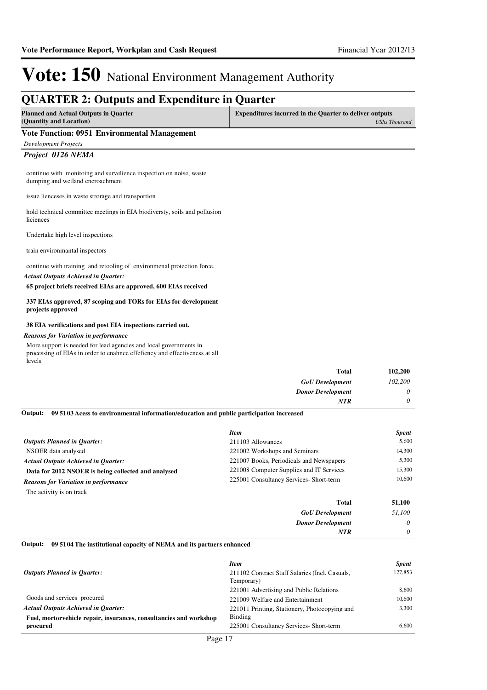### **QUARTER 2: Outputs and Expenditure in Quarter Planned and Actual Outputs in Quarter (Quantity and Location) Expenditures incurred in the Quarter to deliver outputs**  *UShs Thousand* **Vote Function: 0951 Environmental Management** *Development Projects Project 0126 NEMA* continue with monitoing and survelience inspection on noise, waste dumping and wetland encroachment issue lienceses in waste strorage and transportion hold technical committee meetings in EIA biodiversty, soils and pollusion liciences Undertake high level inspections train environmantal inspectors continue with training and retooling of environmenal protection force. **65 project briefs received EIAs are approved, 600 EIAs received 337 EIAs approved, 87 scoping and TORs for EIAs for development projects approved 38 EIA verifications and post EIA inspections carried out.** *Actual Outputs Achieved in Quarter: Reasons for Variation in performance*

More support is needed for lead agencies and local governments in processing of EIAs in order to enahnce effefiency and effectiveness at all levels

| <b>Total</b>             | 102,200  |
|--------------------------|----------|
| <b>GoU</b> Development   | 102,200  |
| <b>Donor Development</b> | $\theta$ |
| NTR                      | 0        |

**09 5103 Acess to environmental information/education and public participation increased Output:**

|                                                     | <b>Item</b>                              | <b>Spent</b> |
|-----------------------------------------------------|------------------------------------------|--------------|
| <b>Outputs Planned in Ouarter:</b>                  | 211103 Allowances                        | 5.600        |
| NSOER data analysed                                 | 221002 Workshops and Seminars            | 14.300       |
| <b>Actual Outputs Achieved in Ouarter:</b>          | 221007 Books, Periodicals and Newspapers | 5.300        |
| Data for 2012 NSOER is being collected and analysed | 221008 Computer Supplies and IT Services | 15,300       |
| <b>Reasons for Variation in performance</b>         | 225001 Consultancy Services- Short-term  | 10.600       |
| The activity is on track                            |                                          |              |
|                                                     | <b>Total</b>                             | 51,100       |
|                                                     | <b>GoU</b> Development                   | 51.100       |

| <b>Donor Development</b><br><b>TERR</b> |
|-----------------------------------------|
|                                         |

#### **09 5104 The institutional capacity of NEMA and its partners enhanced Output:**

|                                                                    | <b>Item</b>                                    | <b>Spent</b> |
|--------------------------------------------------------------------|------------------------------------------------|--------------|
| <b>Outputs Planned in Ouarter:</b>                                 | 211102 Contract Staff Salaries (Incl. Casuals, | 127,853      |
|                                                                    | Temporary)                                     |              |
|                                                                    | 221001 Advertising and Public Relations        | 8.600        |
| Goods and services procured                                        | 221009 Welfare and Entertainment               | 10.600       |
| <b>Actual Outputs Achieved in Ouarter:</b>                         | 221011 Printing, Stationery, Photocopying and  | 3.300        |
| Fuel, mortorvehicle repair, insurances, consultancies and workshop | Binding                                        |              |
| procured                                                           | 225001 Consultancy Services- Short-term        | 6.600        |
|                                                                    |                                                |              |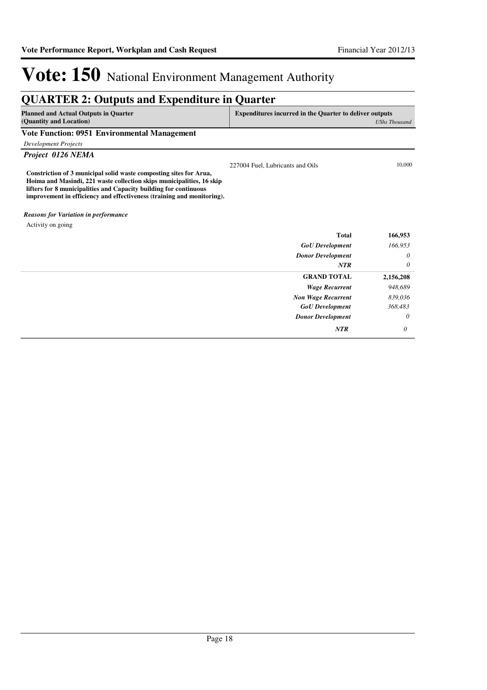| <b>QUARTER 2: Outputs and Expenditure in Quarter</b>                                                                                                                                                                                                                                       |                                                                                        |           |  |
|--------------------------------------------------------------------------------------------------------------------------------------------------------------------------------------------------------------------------------------------------------------------------------------------|----------------------------------------------------------------------------------------|-----------|--|
| <b>Planned and Actual Outputs in Quarter</b><br>(Quantity and Location)                                                                                                                                                                                                                    | <b>Expenditures incurred in the Quarter to deliver outputs</b><br><b>UShs Thousand</b> |           |  |
| <b>Vote Function: 0951 Environmental Management</b>                                                                                                                                                                                                                                        |                                                                                        |           |  |
| <b>Development Projects</b>                                                                                                                                                                                                                                                                |                                                                                        |           |  |
| Project 0126 NEMA                                                                                                                                                                                                                                                                          |                                                                                        |           |  |
| Constriction of 3 municipal solid waste composting sites for Arua,<br>Hoima and Masindi, 221 waste collection skips municipalities, 16 skip<br>lifters for 8 municipalities and Capacity building for continuous<br>improvement in efficiency and effectiveness (training and monitoring). | 227004 Fuel, Lubricants and Oils                                                       | 10,000    |  |
| <b>Reasons for Variation in performance</b>                                                                                                                                                                                                                                                |                                                                                        |           |  |
| Activity on going                                                                                                                                                                                                                                                                          |                                                                                        |           |  |
|                                                                                                                                                                                                                                                                                            | <b>Total</b>                                                                           | 166,953   |  |
|                                                                                                                                                                                                                                                                                            | <b>GoU</b> Development                                                                 | 166,953   |  |
|                                                                                                                                                                                                                                                                                            | <b>Donor Development</b>                                                               | 0         |  |
|                                                                                                                                                                                                                                                                                            | NTR                                                                                    | 0         |  |
|                                                                                                                                                                                                                                                                                            | <b>GRAND TOTAL</b>                                                                     | 2,156,208 |  |
|                                                                                                                                                                                                                                                                                            | <b>Wage Recurrent</b>                                                                  | 948,689   |  |
|                                                                                                                                                                                                                                                                                            | <b>Non Wage Recurrent</b>                                                              | 839,036   |  |
|                                                                                                                                                                                                                                                                                            | <b>GoU</b> Development                                                                 | 368,483   |  |
|                                                                                                                                                                                                                                                                                            | <b>Donor Development</b>                                                               | 0         |  |
|                                                                                                                                                                                                                                                                                            | <b>NTR</b>                                                                             | 0         |  |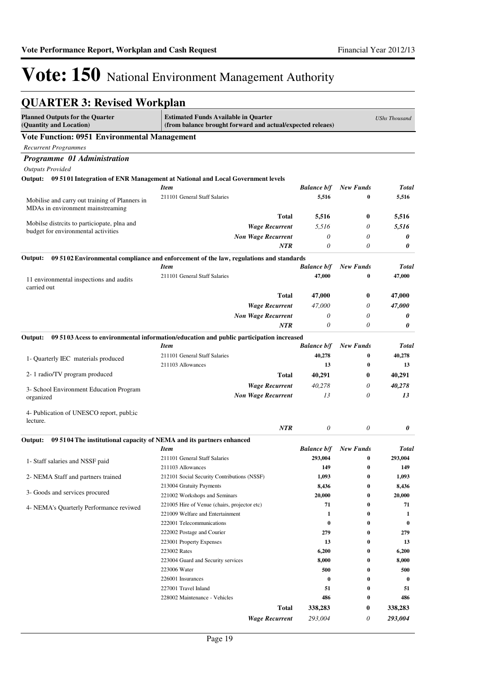## **QUARTER 3: Revised Workplan**

| <b>Planned Outputs for the Quarter</b><br>(Quantity and Location)                     | <b>Estimated Funds Available in Quarter</b><br>(from balance brought forward and actual/expected releaes) |                    |                  | <b>UShs Thousand</b> |
|---------------------------------------------------------------------------------------|-----------------------------------------------------------------------------------------------------------|--------------------|------------------|----------------------|
| <b>Vote Function: 0951 Environmental Management</b>                                   |                                                                                                           |                    |                  |                      |
| <b>Recurrent Programmes</b>                                                           |                                                                                                           |                    |                  |                      |
| Programme 01 Administration                                                           |                                                                                                           |                    |                  |                      |
| <b>Outputs Provided</b>                                                               |                                                                                                           |                    |                  |                      |
| Output: 09 5101 Integration of ENR Management at National and Local Government levels |                                                                                                           |                    |                  |                      |
|                                                                                       | <b>Item</b>                                                                                               | <b>Balance b/f</b> | <b>New Funds</b> | <b>Total</b>         |
| Mobilise and carry out training of Planners in                                        | 211101 General Staff Salaries                                                                             | 5,516              | 0                | 5,516                |
| MDAs in environment mainstreaming                                                     |                                                                                                           |                    |                  |                      |
|                                                                                       | <b>Total</b>                                                                                              | 5,516              | $\bf{0}$         | 5,516                |
| Mobilse distrcits to particiopate, plna and<br>budget for environmental activities    | <b>Wage Recurrent</b>                                                                                     | 5,516              | 0                | 5,516                |
|                                                                                       | <b>Non Wage Recurrent</b>                                                                                 | 0                  | 0                | 0                    |
|                                                                                       | NTR                                                                                                       | 0                  | 0                | 0                    |
| Output:                                                                               | 09 5102 Environmental compliance and enforcement of the law, regulations and standards                    |                    |                  |                      |
|                                                                                       | <b>Item</b>                                                                                               | <b>Balance b/f</b> | <b>New Funds</b> | <b>Total</b>         |
| 11 environmental inspections and audits                                               | 211101 General Staff Salaries                                                                             | 47,000             | 0                | 47,000               |
| carried out                                                                           |                                                                                                           |                    |                  |                      |
|                                                                                       | <b>Total</b>                                                                                              | 47,000             | $\bf{0}$         | 47,000               |
|                                                                                       | <b>Wage Recurrent</b>                                                                                     | 47,000             | 0                | 47,000               |
|                                                                                       | <b>Non Wage Recurrent</b>                                                                                 | 0                  | 0                | 0                    |
|                                                                                       | <b>NTR</b>                                                                                                | 0                  | 0                | 0                    |
| Output:                                                                               | 09 51 03 Acess to environmental information/education and public participation increased                  |                    |                  |                      |
|                                                                                       | <b>Item</b>                                                                                               | <b>Balance b/f</b> | <b>New Funds</b> | <b>Total</b>         |
| 1- Quarterly IEC materials produced                                                   | 211101 General Staff Salaries                                                                             | 40,278             | 0                | 40,278               |
|                                                                                       | 211103 Allowances                                                                                         | 13                 | 0                | 13                   |
| 2-1 radio/TV program produced                                                         | <b>Total</b>                                                                                              | 40,291             | $\bf{0}$         | 40,291               |
| 3- School Environment Education Program                                               | <b>Wage Recurrent</b>                                                                                     | 40,278             | 0                | 40,278               |
| organized                                                                             | <b>Non Wage Recurrent</b>                                                                                 | 13                 | 0                | 13                   |
| 4- Publication of UNESCO report, publ; ic                                             |                                                                                                           |                    |                  |                      |
| lecture.                                                                              |                                                                                                           |                    |                  |                      |
|                                                                                       | NTR                                                                                                       | 0                  | $\theta$         | 0                    |
| 09 5104 The institutional capacity of NEMA and its partners enhanced<br>Output:       |                                                                                                           |                    |                  |                      |
|                                                                                       | <b>Item</b>                                                                                               | <b>Balance b/f</b> | <b>New Funds</b> | <b>Total</b>         |
| 1- Staff salaries and NSSF paid                                                       | 211101 General Staff Salaries                                                                             | 293,004            | 0                | 293,004              |
|                                                                                       | 211103 Allowances                                                                                         | 149                | 0                | 149                  |
| 2- NEMA Staff and partners trained                                                    | 212101 Social Security Contributions (NSSF)                                                               | 1,093              | 0                | 1,093                |
| 3- Goods and services procured                                                        | 213004 Gratuity Payments                                                                                  | 8,436              | $\bf{0}$         | 8,436                |
|                                                                                       | 221002 Workshops and Seminars<br>221005 Hire of Venue (chairs, projector etc)                             | 20,000<br>71       | $\bf{0}$<br>0    | 20,000<br>71         |
| 4- NEMA's Quarterly Performance reviwed                                               | 221009 Welfare and Entertainment                                                                          | 1                  | 0                | 1                    |
|                                                                                       | 222001 Telecommunications                                                                                 | $\bf{0}$           | 0                | $\bf{0}$             |
|                                                                                       | 222002 Postage and Courier                                                                                | 279                | 0                | 279                  |
|                                                                                       | 223001 Property Expenses                                                                                  | 13                 | 0                | 13                   |
|                                                                                       | 223002 Rates                                                                                              | 6,200              | 0                | 6,200                |
|                                                                                       | 223004 Guard and Security services                                                                        | 8,000              | 0                | 8,000                |
|                                                                                       | 223006 Water                                                                                              | 500                | 0                | 500                  |
|                                                                                       | 226001 Insurances                                                                                         | $\bf{0}$           | 0                | $\bf{0}$             |
|                                                                                       | 227001 Travel Inland                                                                                      | 51                 | $\boldsymbol{0}$ | 51                   |
|                                                                                       | 228002 Maintenance - Vehicles                                                                             | 486                | 0                | 486                  |
|                                                                                       | <b>Total</b>                                                                                              | 338,283            | $\bf{0}$         | 338,283              |
|                                                                                       | <b>Wage Recurrent</b>                                                                                     | 293,004            | 0                | 293,004              |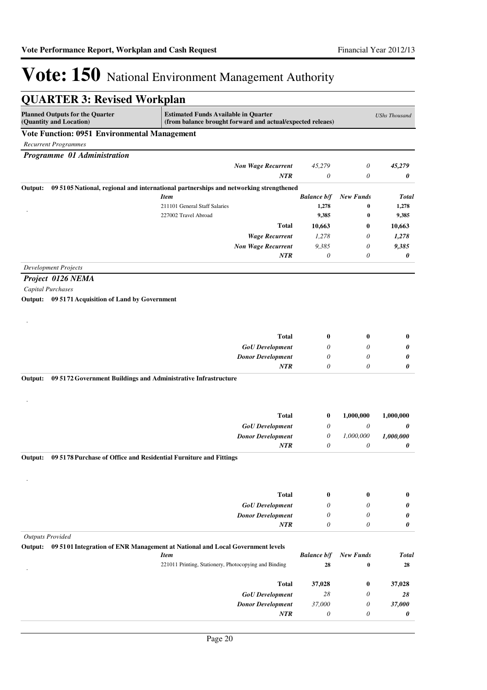| <b>QUARTER 3: Revised Workplan</b>                                           |                                                                                                           |                    |                  |                      |  |
|------------------------------------------------------------------------------|-----------------------------------------------------------------------------------------------------------|--------------------|------------------|----------------------|--|
| <b>Planned Outputs for the Quarter</b><br>(Quantity and Location)            | <b>Estimated Funds Available in Quarter</b><br>(from balance brought forward and actual/expected releaes) |                    |                  | <b>UShs Thousand</b> |  |
| <b>Vote Function: 0951 Environmental Management</b>                          |                                                                                                           |                    |                  |                      |  |
| <b>Recurrent Programmes</b>                                                  |                                                                                                           |                    |                  |                      |  |
| Programme 01 Administration                                                  |                                                                                                           |                    |                  |                      |  |
|                                                                              | <b>Non Wage Recurrent</b>                                                                                 | 45,279             | 0                | 45,279               |  |
|                                                                              | <b>NTR</b>                                                                                                | $\theta$           | $\theta$         | 0                    |  |
| Output:                                                                      | 09 5105 National, regional and international partnerships and networking strengthened                     |                    |                  |                      |  |
|                                                                              | <b>Item</b>                                                                                               | <b>Balance b/f</b> | <b>New Funds</b> | <b>Total</b>         |  |
|                                                                              | 211101 General Staff Salaries                                                                             | 1,278              | 0                | 1,278                |  |
|                                                                              | 227002 Travel Abroad                                                                                      | 9,385              | 0                | 9,385                |  |
|                                                                              | <b>Total</b>                                                                                              | 10,663             | $\bf{0}$         | 10,663               |  |
|                                                                              | <b>Wage Recurrent</b>                                                                                     | 1,278              | 0                | 1,278                |  |
|                                                                              | <b>Non Wage Recurrent</b>                                                                                 | 9,385              | 0                | 9,385                |  |
|                                                                              | <b>NTR</b>                                                                                                | 0                  | 0                | 0                    |  |
| <b>Development Projects</b>                                                  |                                                                                                           |                    |                  |                      |  |
| Project 0126 NEMA                                                            |                                                                                                           |                    |                  |                      |  |
| Capital Purchases                                                            |                                                                                                           |                    |                  |                      |  |
| Output: 09 5171 Acquisition of Land by Government                            |                                                                                                           |                    |                  |                      |  |
|                                                                              |                                                                                                           |                    |                  |                      |  |
|                                                                              |                                                                                                           |                    |                  |                      |  |
|                                                                              |                                                                                                           |                    |                  |                      |  |
|                                                                              | <b>Total</b>                                                                                              | $\bf{0}$           | $\bf{0}$         | $\bf{0}$             |  |
|                                                                              | <b>GoU</b> Development                                                                                    | $\theta$           | 0                | 0                    |  |
|                                                                              | <b>Donor Development</b>                                                                                  | $\theta$           | $\theta$         | 0                    |  |
|                                                                              | <b>NTR</b>                                                                                                | 0                  | 0                | 0                    |  |
| Output:<br>09 5172 Government Buildings and Administrative Infrastructure    |                                                                                                           |                    |                  |                      |  |
|                                                                              |                                                                                                           |                    |                  |                      |  |
|                                                                              |                                                                                                           |                    |                  |                      |  |
|                                                                              | <b>Total</b>                                                                                              | $\bf{0}$           | 1,000,000        | 1,000,000            |  |
|                                                                              |                                                                                                           | 0                  | 0                |                      |  |
|                                                                              | <b>GoU</b> Development                                                                                    |                    |                  | 0<br>1,000,000       |  |
|                                                                              | <b>Donor Development</b><br>NTR                                                                           | 0<br>0             | 1,000,000<br>0   | 0                    |  |
|                                                                              |                                                                                                           |                    |                  |                      |  |
| 09 5178 Purchase of Office and Residential Furniture and Fittings<br>Output: |                                                                                                           |                    |                  |                      |  |
|                                                                              |                                                                                                           |                    |                  |                      |  |
|                                                                              |                                                                                                           |                    |                  |                      |  |
|                                                                              | <b>Total</b>                                                                                              | $\bf{0}$           | $\bf{0}$         | $\bf{0}$             |  |
|                                                                              | <b>GoU</b> Development                                                                                    | 0                  | 0                | 0                    |  |
|                                                                              | <b>Donor Development</b>                                                                                  | $\theta$           | 0                | 0                    |  |
|                                                                              | <b>NTR</b>                                                                                                | $\theta$           | 0                | 0                    |  |
| <b>Outputs Provided</b>                                                      |                                                                                                           |                    |                  |                      |  |
|                                                                              | Output: 09 5101 Integration of ENR Management at National and Local Government levels                     |                    |                  |                      |  |
|                                                                              | <b>Item</b>                                                                                               | <b>Balance b/f</b> | <b>New Funds</b> | <b>Total</b>         |  |
|                                                                              | 221011 Printing, Stationery, Photocopying and Binding                                                     | 28                 | 0                | 28                   |  |
|                                                                              |                                                                                                           |                    |                  |                      |  |
|                                                                              | <b>Total</b>                                                                                              | 37,028             | $\bf{0}$         | 37,028               |  |
|                                                                              | <b>GoU</b> Development                                                                                    | 28                 | 0                | 28                   |  |
|                                                                              | <b>Donor Development</b>                                                                                  | 37,000             | 0                | 37,000               |  |
|                                                                              | NTR                                                                                                       | 0                  | 0                | 0                    |  |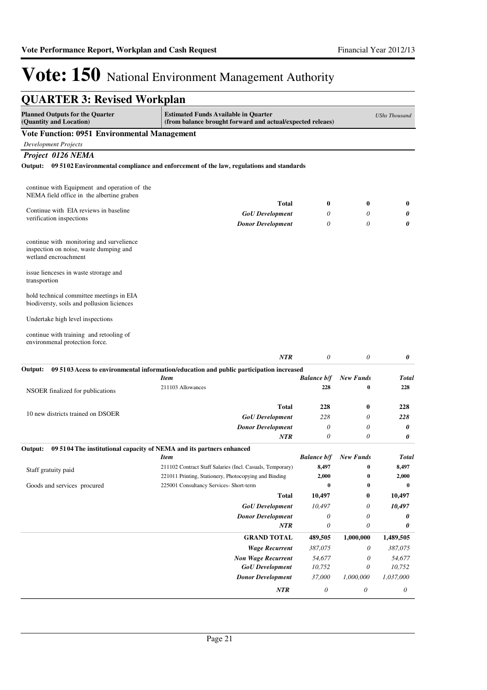| <b>QUARTER 3: Revised Workplan</b>                                                                         |                                                                                                                    |                           |                              |                      |
|------------------------------------------------------------------------------------------------------------|--------------------------------------------------------------------------------------------------------------------|---------------------------|------------------------------|----------------------|
| <b>Planned Outputs for the Quarter</b><br>(Quantity and Location)                                          | <b>Estimated Funds Available in Quarter</b><br>(from balance brought forward and actual/expected releaes)          |                           |                              | <b>UShs Thousand</b> |
| <b>Vote Function: 0951 Environmental Management</b>                                                        |                                                                                                                    |                           |                              |                      |
| <b>Development Projects</b>                                                                                |                                                                                                                    |                           |                              |                      |
| Project 0126 NEMA                                                                                          |                                                                                                                    |                           |                              |                      |
|                                                                                                            | Output: 09 5102 Environmental compliance and enforcement of the law, regulations and standards                     |                           |                              |                      |
| continue with Equipment and operation of the                                                               |                                                                                                                    |                           |                              |                      |
| NEMA field office in the albertine graben                                                                  | <b>Total</b>                                                                                                       | $\bf{0}$                  | $\boldsymbol{0}$             | $\bf{0}$             |
| Continue with EIA reviews in baseline                                                                      | <b>GoU</b> Development                                                                                             | 0                         | 0                            | 0                    |
| verification inspections                                                                                   | <b>Donor Development</b>                                                                                           | $\theta$                  | $\theta$                     | 0                    |
| continue with monitoring and survelience<br>inspection on noise, waste dumping and<br>wetland encroachment |                                                                                                                    |                           |                              |                      |
| issue lienceses in waste strorage and<br>transportion                                                      |                                                                                                                    |                           |                              |                      |
| hold technical committee meetings in EIA<br>biodiversty, soils and pollusion liciences                     |                                                                                                                    |                           |                              |                      |
| Undertake high level inspections                                                                           |                                                                                                                    |                           |                              |                      |
| continue with training and retooling of<br>environmenal protection force.                                  |                                                                                                                    |                           |                              |                      |
|                                                                                                            | <b>NTR</b>                                                                                                         | $\theta$                  | $\theta$                     | 0                    |
| Output:                                                                                                    | 09 5103 Acess to environmental information/education and public participation increased                            |                           |                              |                      |
|                                                                                                            | <b>Item</b><br>211103 Allowances                                                                                   | <b>Balance b/f</b><br>228 | <b>New Funds</b><br>0        | <b>Total</b><br>228  |
| NSOER finalized for publications                                                                           |                                                                                                                    |                           |                              |                      |
|                                                                                                            | <b>Total</b>                                                                                                       | 228                       | $\boldsymbol{0}$             | 228                  |
| 10 new districts trained on DSOER                                                                          | <b>GoU</b> Development                                                                                             | 228                       | 0                            | 228                  |
|                                                                                                            | <b>Donor Development</b>                                                                                           | 0                         | 0                            | 0                    |
|                                                                                                            | <b>NTR</b>                                                                                                         | $\boldsymbol{\theta}$     | 0                            | 0                    |
| Output:                                                                                                    | 09 5104 The institutional capacity of NEMA and its partners enhanced                                               |                           |                              |                      |
|                                                                                                            | <i>Item</i>                                                                                                        |                           | <b>Balance b/f</b> New Funds | Total                |
| Staff gratuity paid                                                                                        | 211102 Contract Staff Salaries (Incl. Casuals, Temporary)<br>221011 Printing, Stationery, Photocopying and Binding | 8,497<br>2,000            | $\bf{0}$<br>0                | 8,497<br>2,000       |
| Goods and services procured                                                                                | 225001 Consultancy Services- Short-term                                                                            | $\bf{0}$                  | 0                            | $\boldsymbol{0}$     |
|                                                                                                            | <b>Total</b>                                                                                                       | 10,497                    | 0                            | 10,497               |
|                                                                                                            | <b>GoU</b> Development                                                                                             | 10,497                    | 0                            | 10,497               |
|                                                                                                            | <b>Donor Development</b>                                                                                           | 0                         | 0                            | 0                    |
|                                                                                                            | NTR                                                                                                                | 0                         | 0                            | 0                    |
|                                                                                                            | <b>GRAND TOTAL</b>                                                                                                 | 489,505                   | 1,000,000                    | 1,489,505            |
|                                                                                                            | <b>Wage Recurrent</b>                                                                                              | 387,075                   | 0                            | 387,075              |
|                                                                                                            | <b>Non Wage Recurrent</b>                                                                                          | 54,677                    | 0                            | 54,677               |
|                                                                                                            | <b>GoU</b> Development                                                                                             | 10,752                    | 0                            | 10,752               |
|                                                                                                            | <b>Donor Development</b>                                                                                           | 37,000                    | 1,000,000                    | 1,037,000            |
|                                                                                                            |                                                                                                                    |                           |                              |                      |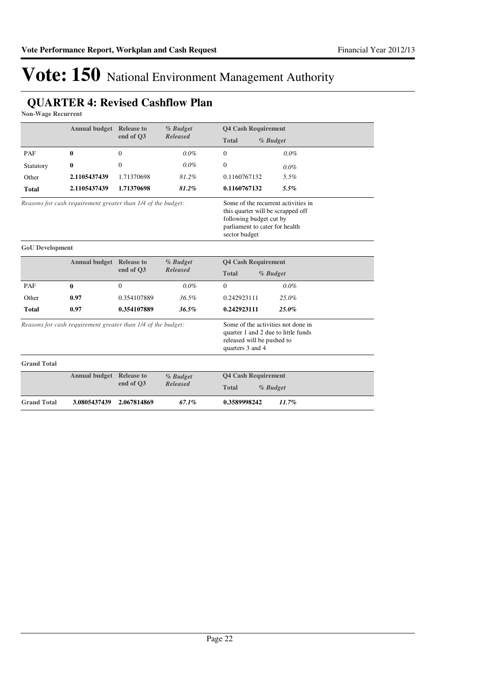## **QUARTER 4: Revised Cashflow Plan**

**Non-Wage Recurrent**

|                                                              | <b>Annual budget</b> Release to | end of O3      | % Budget<br><b>Released</b> | <b>Q4 Cash Requirement</b>                                                                                                                             |          |
|--------------------------------------------------------------|---------------------------------|----------------|-----------------------------|--------------------------------------------------------------------------------------------------------------------------------------------------------|----------|
|                                                              |                                 |                |                             | <b>Total</b>                                                                                                                                           | % Budget |
| PAF                                                          | 0                               | $\overline{0}$ | $0.0\%$                     | $\Omega$                                                                                                                                               | $0.0\%$  |
| Statutory                                                    | 0                               | $\Omega$       | $0.0\%$                     | $\theta$                                                                                                                                               | $0.0\%$  |
| Other                                                        | 2.1105437439                    | 1.71370698     | 81.2%                       | 0.1160767132                                                                                                                                           | 5.5%     |
| <b>Total</b>                                                 | 2.1105437439                    | 1.71370698     | 81.2%                       | 0.1160767132                                                                                                                                           | 5.5%     |
| Reasons for cash requirement greater than 1/4 of the budget: |                                 |                |                             | Some of the recurrent activities in<br>this quarter will be scrapped off<br>following budget cut by<br>parliament to cater for health<br>sector budget |          |
| <b>GoU</b> Development                                       |                                 |                |                             |                                                                                                                                                        |          |
|                                                              | <b>Annual budget</b> Release to | % Budget       |                             | <b>Q4 Cash Requirement</b>                                                                                                                             |          |
|                                                              |                                 | end of O3      | <b>Released</b>             | <b>Total</b><br>% Budget                                                                                                                               |          |
| PAF                                                          | 0                               | $\overline{0}$ | $0.0\%$                     | $\Omega$                                                                                                                                               | $0.0\%$  |
| Other                                                        | 0.97                            | 0.354107889    | 36.5%                       | 0.242923111                                                                                                                                            | 25.0%    |
| <b>Total</b>                                                 | 0.97                            | 0.354107889    | 36.5%                       | 0.242923111                                                                                                                                            | 25.0%    |
| Reasons for cash requirement greater than 1/4 of the budget: |                                 |                |                             | Some of the activities not done in<br>quarter 1 and 2 due to little funds<br>released will be pushed to<br>quarters 3 and 4                            |          |
| <b>Grand Total</b>                                           |                                 |                |                             |                                                                                                                                                        |          |
|                                                              | <b>Annual budget</b> Release to | end of O3      | % Budget<br><b>Released</b> | <b>Q4 Cash Requirement</b>                                                                                                                             |          |
|                                                              |                                 |                |                             | <b>Total</b><br>% Budget                                                                                                                               |          |
| <b>Grand Total</b>                                           | 3.0805437439                    | 2.067814869    | 67.1%                       | 0.3589998242                                                                                                                                           | 11.7%    |